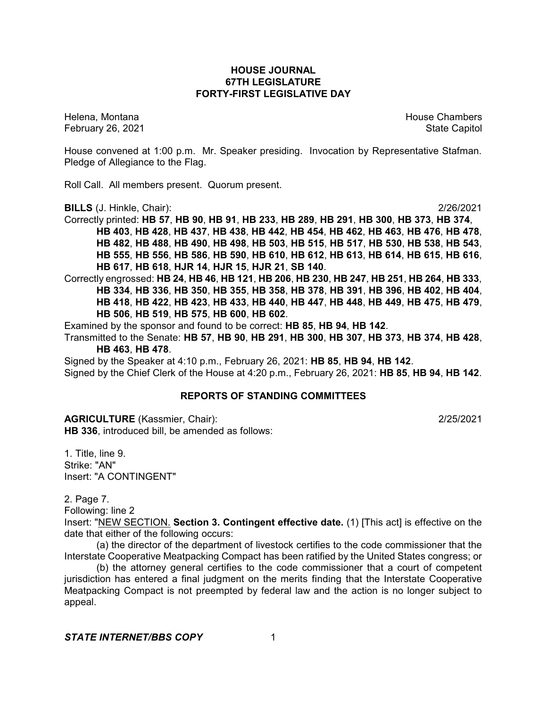# **HOUSE JOURNAL 67TH LEGISLATURE FORTY-FIRST LEGISLATIVE DAY**

February 26, 2021 **State Capitol** 

Helena, Montana House Chambers Chambers Chambers and House Chambers Chambers Chambers Chambers Chambers Chambers Chambers Chambers Chambers Chambers Chambers Chambers Chambers Chambers Chambers Chambers Chambers Chambers C

House convened at 1:00 p.m. Mr. Speaker presiding. Invocation by Representative Stafman. Pledge of Allegiance to the Flag.

Roll Call. All members present. Quorum present.

**BILLS** (J. Hinkle, Chair): 2/26/2021

Correctly printed: **HB 57**, **HB 90**, **HB 91**, **HB 233**, **HB 289**, **HB 291**, **HB 300**, **HB 373**, **HB 374**, **HB 403**, **HB 428**, **HB 437**, **HB 438**, **HB 442**, **HB 454**, **HB 462**, **HB 463**, **HB 476**, **HB 478**, **HB 482**, **HB 488**, **HB 490**, **HB 498**, **HB 503**, **HB 515**, **HB 517**, **HB 530**, **HB 538**, **HB 543**, **HB 555**, **HB 556**, **HB 586**, **HB 590**, **HB 610**, **HB 612**, **HB 613**, **HB 614**, **HB 615**, **HB 616**, **HB 617**, **HB 618**, **HJR 14**, **HJR 15**, **HJR 21**, **SB 140**.

Correctly engrossed: **HB 24**, **HB 46**, **HB 121**, **HB 206**, **HB 230**, **HB 247**, **HB 251**, **HB 264**, **HB 333**, **HB 334**, **HB 336**, **HB 350**, **HB 355**, **HB 358**, **HB 378**, **HB 391**, **HB 396**, **HB 402**, **HB 404**, **HB 418**, **HB 422**, **HB 423**, **HB 433**, **HB 440**, **HB 447**, **HB 448**, **HB 449**, **HB 475**, **HB 479**, **HB 506**, **HB 519**, **HB 575**, **HB 600**, **HB 602**.

Examined by the sponsor and found to be correct: **HB 85**, **HB 94**, **HB 142**.

Transmitted to the Senate: **HB 57**, **HB 90**, **HB 291**, **HB 300**, **HB 307**, **HB 373**, **HB 374**, **HB 428**, **HB 463**, **HB 478**.

Signed by the Speaker at 4:10 p.m., February 26, 2021: **HB 85**, **HB 94**, **HB 142**. Signed by the Chief Clerk of the House at 4:20 p.m., February 26, 2021: **HB 85**, **HB 94**, **HB 142**.

# **REPORTS OF STANDING COMMITTEES**

**AGRICULTURE** (Kassmier, Chair): 2/25/2021 **HB 336**, introduced bill, be amended as follows:

1. Title, line 9. Strike: "AN" Insert: "A CONTINGENT"

2. Page 7.

Following: line 2

Insert: "NEW SECTION. **Section 3. Contingent effective date.** (1) [This act] is effective on the date that either of the following occurs:

(a) the director of the department of livestock certifies to the code commissioner that the Interstate Cooperative Meatpacking Compact has been ratified by the United States congress; or

(b) the attorney general certifies to the code commissioner that a court of competent jurisdiction has entered a final judgment on the merits finding that the Interstate Cooperative Meatpacking Compact is not preempted by federal law and the action is no longer subject to appeal.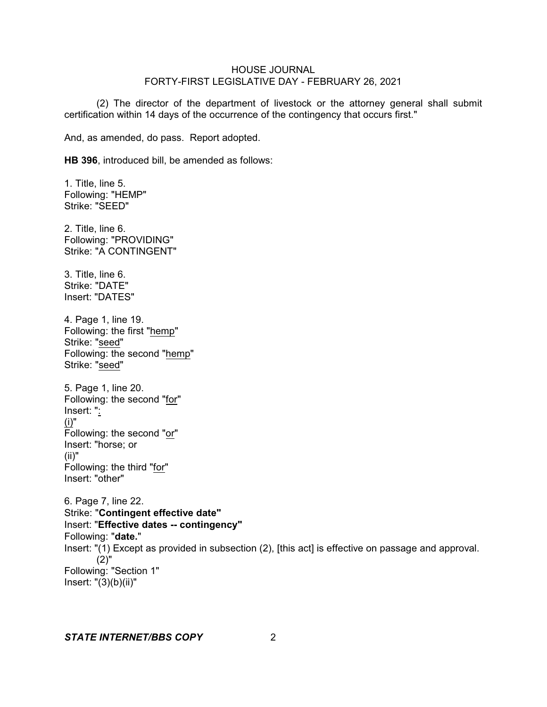(2) The director of the department of livestock or the attorney general shall submit certification within 14 days of the occurrence of the contingency that occurs first."

And, as amended, do pass. Report adopted.

**HB 396**, introduced bill, be amended as follows:

1. Title, line 5. Following: "HEMP" Strike: "SEED"

2. Title, line 6. Following: "PROVIDING" Strike: "A CONTINGENT"

3. Title, line 6. Strike: "DATE" Insert: "DATES"

4. Page 1, line 19. Following: the first "hemp" Strike: "seed" Following: the second "hemp" Strike: "seed"

5. Page 1, line 20. Following: the second "for" Insert: ": (i)" Following: the second "or" Insert: "horse; or (ii)" Following: the third "for" Insert: "other"

6. Page 7, line 22. Strike: "**Contingent effective date"** Insert: "**Effective dates -- contingency"** Following: "**date.**" Insert: "(1) Except as provided in subsection (2), [this act] is effective on passage and approval. (2)" Following: "Section 1" Insert:  $"(3)(b)(ii)"$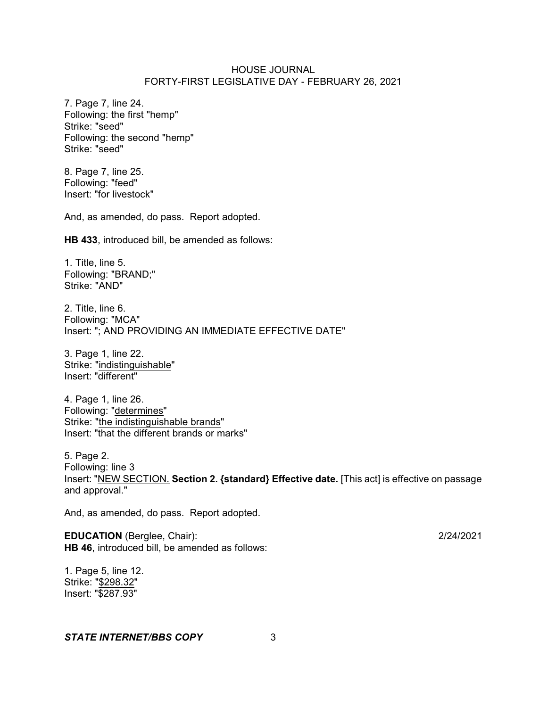7. Page 7, line 24. Following: the first "hemp" Strike: "seed" Following: the second "hemp" Strike: "seed"

8. Page 7, line 25. Following: "feed" Insert: "for livestock"

And, as amended, do pass. Report adopted.

**HB 433**, introduced bill, be amended as follows:

1. Title, line 5. Following: "BRAND;" Strike: "AND"

2. Title, line 6. Following: "MCA" Insert: "; AND PROVIDING AN IMMEDIATE EFFECTIVE DATE"

3. Page 1, line 22. Strike: "indistinguishable" Insert: "different"

4. Page 1, line 26. Following: "determines" Strike: "the indistinguishable brands" Insert: "that the different brands or marks"

5. Page 2. Following: line 3 Insert: "NEW SECTION. **Section 2. {standard} Effective date.** [This act] is effective on passage and approval."

And, as amended, do pass. Report adopted.

**EDUCATION** (Berglee, Chair): 2/24/2021 **HB 46**, introduced bill, be amended as follows:

1. Page 5, line 12. Strike: "\$298.32" Insert: "\$287.93"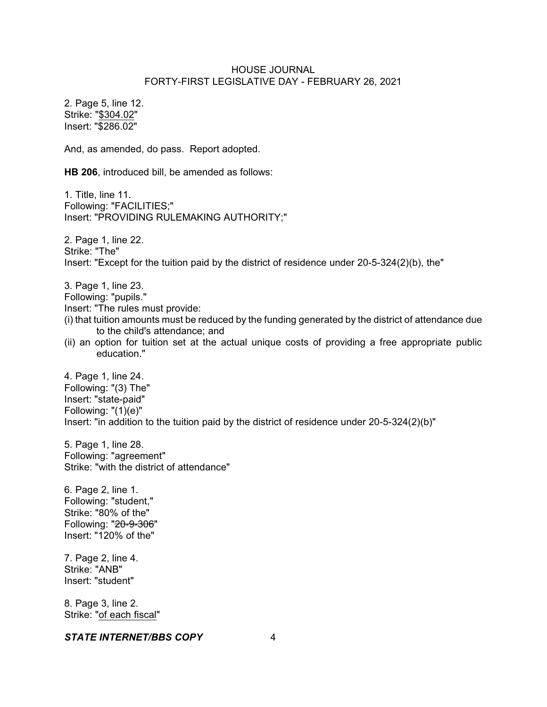2. Page 5, line 12. Strike: "\$304.02" Insert: "\$286.02"

And, as amended, do pass. Report adopted.

**HB 206**, introduced bill, be amended as follows:

1. Title, line 11. Following: "FACILITIES;" Insert: "PROVIDING RULEMAKING AUTHORITY;"

2. Page 1, line 22. Strike: "The" Insert: "Except for the tuition paid by the district of residence under 20-5-324(2)(b), the"

3. Page 1, line 23.

Following: "pupils."

Insert: "The rules must provide:

- (i) that tuition amounts must be reduced by the funding generated by the district of attendance due to the child's attendance; and
- (ii) an option for tuition set at the actual unique costs of providing a free appropriate public education."

4. Page 1, line 24. Following: "(3) The" Insert: "state-paid" Following: "(1)(e)" Insert: "in addition to the tuition paid by the district of residence under 20-5-324(2)(b)"

5. Page 1, line 28. Following: "agreement" Strike: "with the district of attendance"

6. Page 2, line 1. Following: "student," Strike: "80% of the" Following: "20-9-306" Insert: "120% of the"

7. Page 2, line 4. Strike: "ANB" Insert: "student"

8. Page 3, line 2. Strike: "of each fiscal"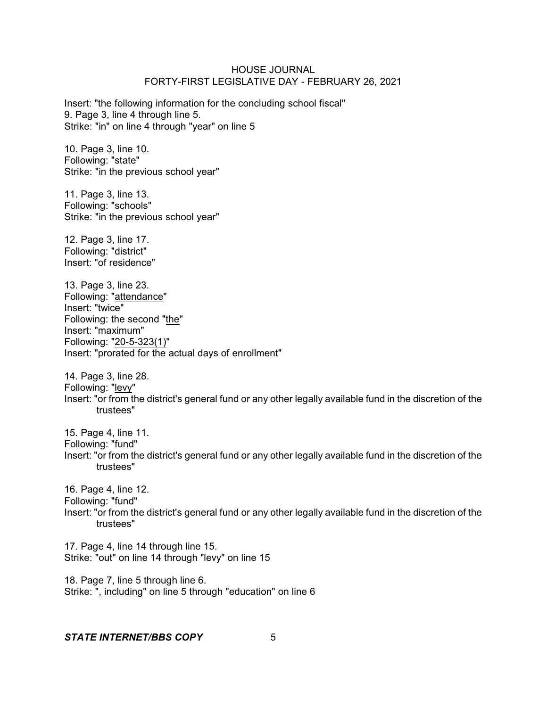Insert: "the following information for the concluding school fiscal" 9. Page 3, line 4 through line 5. Strike: "in" on line 4 through "year" on line 5

10. Page 3, line 10. Following: "state" Strike: "in the previous school year"

11. Page 3, line 13. Following: "schools" Strike: "in the previous school year"

12. Page 3, line 17. Following: "district" Insert: "of residence"

13. Page 3, line 23. Following: "attendance" Insert: "twice" Following: the second "the" Insert: "maximum" Following: "20-5-323(1)" Insert: "prorated for the actual days of enrollment"

14. Page 3, line 28. Following: "levy" Insert: "or from the district's general fund or any other legally available fund in the discretion of the trustees"

15. Page 4, line 11. Following: "fund" Insert: "or from the district's general fund or any other legally available fund in the discretion of the trustees"

16. Page 4, line 12. Following: "fund" Insert: "or from the district's general fund or any other legally available fund in the discretion of the trustees"

17. Page 4, line 14 through line 15. Strike: "out" on line 14 through "levy" on line 15

18. Page 7, line 5 through line 6. Strike: ", including" on line 5 through "education" on line 6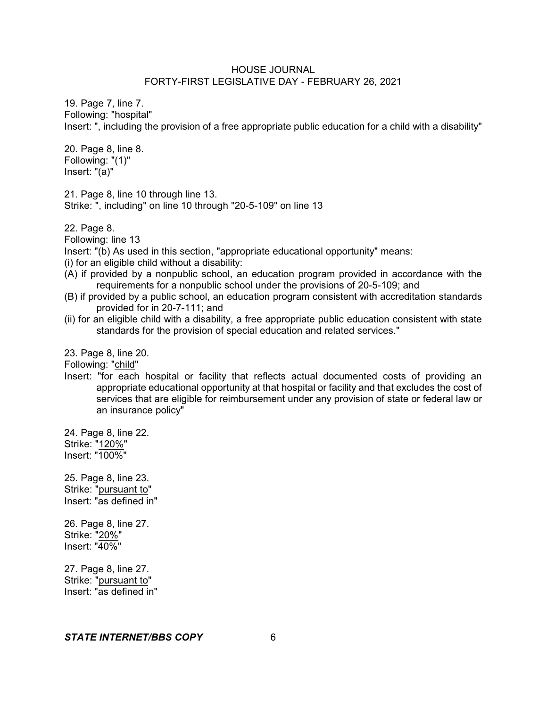19. Page 7, line 7. Following: "hospital" Insert: ", including the provision of a free appropriate public education for a child with a disability"

20. Page 8, line 8. Following: "(1)" Insert: "(a)"

21. Page 8, line 10 through line 13. Strike: ", including" on line 10 through "20-5-109" on line 13

22. Page 8.

Following: line 13

Insert: "(b) As used in this section, "appropriate educational opportunity" means:

(i) for an eligible child without a disability:

- (A) if provided by a nonpublic school, an education program provided in accordance with the requirements for a nonpublic school under the provisions of 20-5-109; and
- (B) if provided by a public school, an education program consistent with accreditation standards provided for in 20-7-111; and
- (ii) for an eligible child with a disability, a free appropriate public education consistent with state standards for the provision of special education and related services."

23. Page 8, line 20.

Following: "child"

Insert: "for each hospital or facility that reflects actual documented costs of providing an appropriate educational opportunity at that hospital or facility and that excludes the cost of services that are eligible for reimbursement under any provision of state or federal law or an insurance policy"

24. Page 8, line 22. Strike: "120%" Insert: "100%"

25. Page 8, line 23. Strike: "pursuant to" Insert: "as defined in"

26. Page 8, line 27. Strike: "20%" Insert: "40%"

27. Page 8, line 27. Strike: "pursuant to" Insert: "as defined in"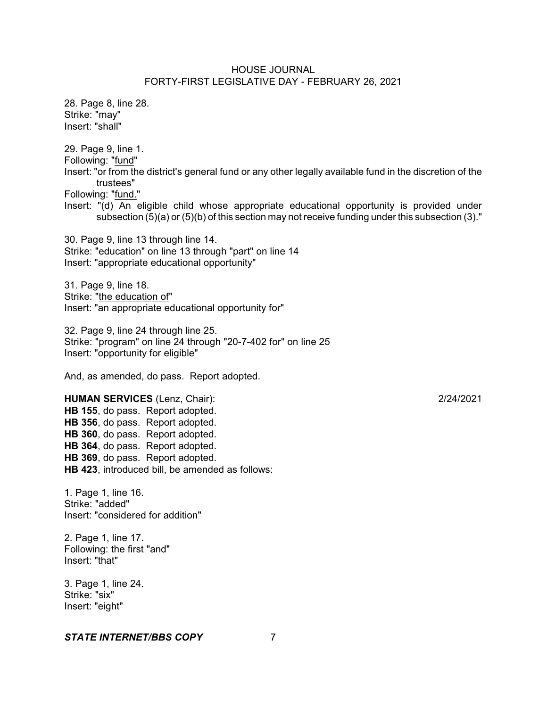28. Page 8, line 28. Strike: "may" Insert: "shall"

29. Page 9, line 1. Following: "fund" Insert: "or from the district's general fund or any other legally available fund in the discretion of the trustees"

Following: "fund."

Insert: "(d) An eligible child whose appropriate educational opportunity is provided under subsection (5)(a) or (5)(b) of this section may not receive funding under this subsection (3)."

30. Page 9, line 13 through line 14. Strike: "education" on line 13 through "part" on line 14 Insert: "appropriate educational opportunity"

31. Page 9, line 18. Strike: "the education of" Insert: "an appropriate educational opportunity for"

32. Page 9, line 24 through line 25. Strike: "program" on line 24 through "20-7-402 for" on line 25 Insert: "opportunity for eligible"

And, as amended, do pass. Report adopted.

**HUMAN SERVICES** (Lenz, Chair): 2/24/2021 **HB 155**, do pass. Report adopted. **HB 356**, do pass. Report adopted. **HB 360**, do pass. Report adopted. **HB 364**, do pass. Report adopted. **HB 369**, do pass. Report adopted. **HB 423**, introduced bill, be amended as follows:

1. Page 1, line 16. Strike: "added" Insert: "considered for addition"

2. Page 1, line 17. Following: the first "and" Insert: "that"

3. Page 1, line 24. Strike: "six" Insert: "eight"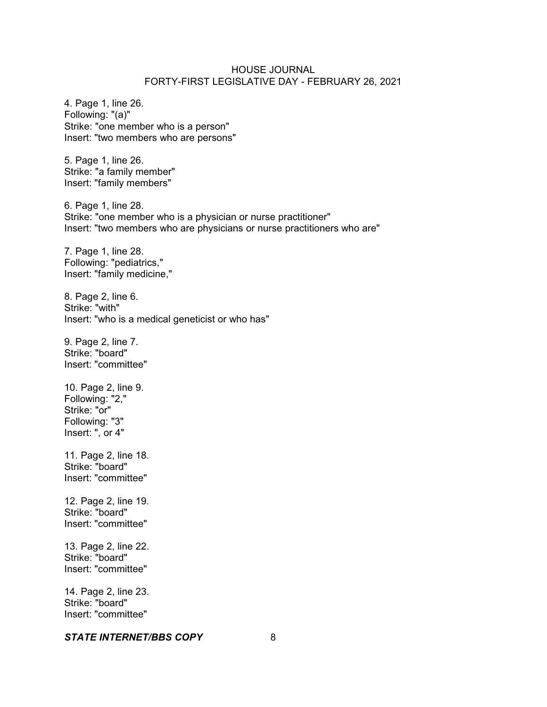4. Page 1, line 26. Following: "(a)" Strike: "one member who is a person" Insert: "two members who are persons"

5. Page 1, line 26. Strike: "a family member" Insert: "family members"

6. Page 1, line 28. Strike: "one member who is a physician or nurse practitioner" Insert: "two members who are physicians or nurse practitioners who are"

7. Page 1, line 28. Following: "pediatrics," Insert: "family medicine,"

8. Page 2, line 6. Strike: "with" Insert: "who is a medical geneticist or who has"

9. Page 2, line 7. Strike: "board" Insert: "committee"

10. Page 2, line 9. Following: "2," Strike: "or" Following: "3" Insert: ", or 4"

11. Page 2, line 18. Strike: "board" Insert: "committee"

12. Page 2, line 19. Strike: "board" Insert: "committee"

13. Page 2, line 22. Strike: "board" Insert: "committee"

14. Page 2, line 23. Strike: "board" Insert: "committee"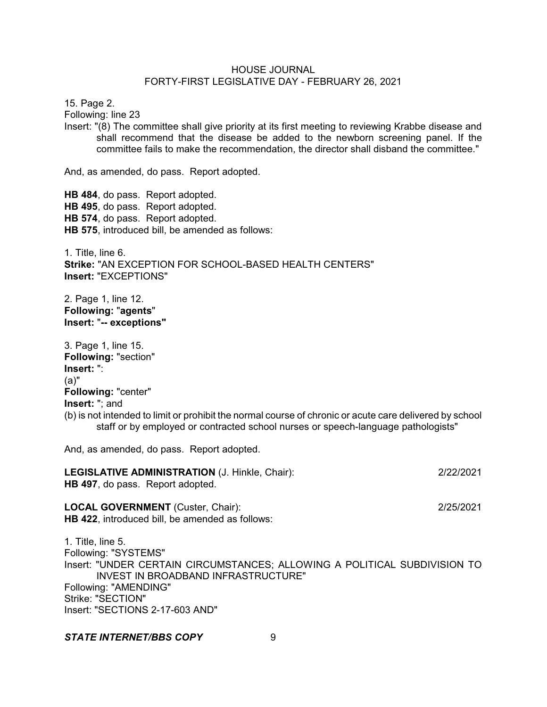15. Page 2.

Following: line 23

Insert: "(8) The committee shall give priority at its first meeting to reviewing Krabbe disease and shall recommend that the disease be added to the newborn screening panel. If the committee fails to make the recommendation, the director shall disband the committee."

And, as amended, do pass. Report adopted.

**HB 484**, do pass. Report adopted. **HB 495**, do pass. Report adopted. **HB 574**, do pass. Report adopted. **HB 575**, introduced bill, be amended as follows:

1. Title, line 6. **Strike:** "AN EXCEPTION FOR SCHOOL-BASED HEALTH CENTERS" **Insert:** "EXCEPTIONS"

2. Page 1, line 12. **Following:** "**agents**" **Insert:** "**-- exceptions"**

3. Page 1, line 15. **Following:** "section" **Insert:** ": (a)" **Following:** "center" **Insert:** "; and (b) is not intended to limit or prohibit the normal course of chronic or acute care delivered by school staff or by employed or contracted school nurses or speech-language pathologists"

And, as amended, do pass. Report adopted.

|                                         | <b>LEGISLATIVE ADMINISTRATION (J. Hinkle, Chair):</b> | 2/22/2021 |
|-----------------------------------------|-------------------------------------------------------|-----------|
| <b>HB 497, do pass. Report adopted.</b> |                                                       |           |

**LOCAL GOVERNMENT** (Custer, Chair): 2/25/2021 **HB 422**, introduced bill, be amended as follows:

1. Title, line 5. Following: "SYSTEMS" Insert: "UNDER CERTAIN CIRCUMSTANCES; ALLOWING A POLITICAL SUBDIVISION TO INVEST IN BROADBAND INFRASTRUCTURE" Following: "AMENDING" Strike: "SECTION" Insert: "SECTIONS 2-17-603 AND"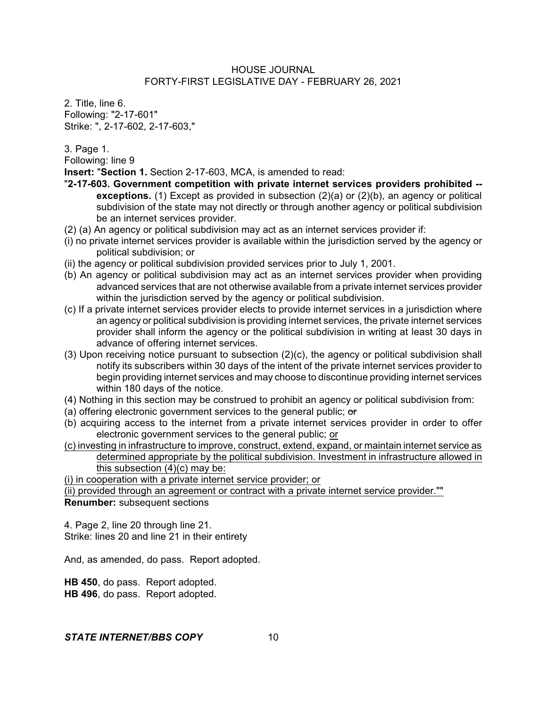2. Title, line 6. Following: "2-17-601" Strike: ", 2-17-602, 2-17-603,"

3. Page 1.

Following: line 9

**Insert:** "**Section 1.** Section 2-17-603, MCA, is amended to read:

- "**2-17-603. Government competition with private internet services providers prohibited - exceptions.** (1) Except as provided in subsection (2)(a) or (2)(b), an agency or political subdivision of the state may not directly or through another agency or political subdivision be an internet services provider.
- (2) (a) An agency or political subdivision may act as an internet services provider if:
- (i) no private internet services provider is available within the jurisdiction served by the agency or political subdivision; or
- (ii) the agency or political subdivision provided services prior to July 1, 2001.
- (b) An agency or political subdivision may act as an internet services provider when providing advanced services that are not otherwise available from a private internet services provider within the jurisdiction served by the agency or political subdivision.
- (c) If a private internet services provider elects to provide internet services in a jurisdiction where an agency or political subdivision is providing internet services, the private internet services provider shall inform the agency or the political subdivision in writing at least 30 days in advance of offering internet services.
- (3) Upon receiving notice pursuant to subsection (2)(c), the agency or political subdivision shall notify its subscribers within 30 days of the intent of the private internet services provider to begin providing internet services and may choose to discontinue providing internet services within 180 days of the notice.
- (4) Nothing in this section may be construed to prohibit an agency or political subdivision from:
- (a) offering electronic government services to the general public;  $\sigma$
- (b) acquiring access to the internet from a private internet services provider in order to offer electronic government services to the general public; or
- (c) investing in infrastructure to improve, construct, extend, expand, or maintain internet service as determined appropriate by the political subdivision. Investment in infrastructure allowed in this subsection  $(4)(c)$  may be:

(i) in cooperation with a private internet service provider; or

(ii) provided through an agreement or contract with a private internet service provider."" **Renumber:** subsequent sections

4. Page 2, line 20 through line 21. Strike: lines 20 and line 21 in their entirety

And, as amended, do pass. Report adopted.

**HB 450**, do pass. Report adopted. **HB 496**, do pass. Report adopted.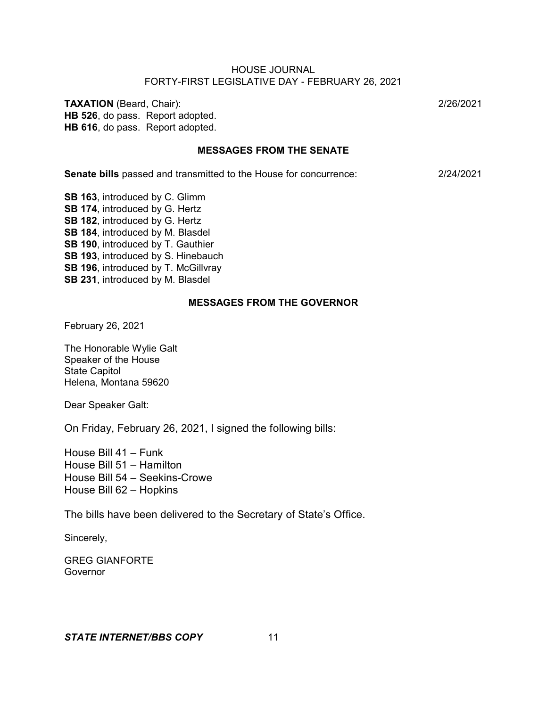**TAXATION** (Beard, Chair): 2/26/2021 **HB 526**, do pass. Report adopted. **HB 616**, do pass. Report adopted.

### **MESSAGES FROM THE SENATE**

**Senate bills** passed and transmitted to the House for concurrence: 2/24/2021

**SB 163**, introduced by C. Glimm **SB 174**, introduced by G. Hertz **SB 182**, introduced by G. Hertz **SB 184**, introduced by M. Blasdel **SB 190**, introduced by T. Gauthier **SB 193**, introduced by S. Hinebauch **SB 196**, introduced by T. McGillvray **SB 231**, introduced by M. Blasdel

#### **MESSAGES FROM THE GOVERNOR**

February 26, 2021

The Honorable Wylie Galt Speaker of the House State Capitol Helena, Montana 59620

Dear Speaker Galt:

On Friday, February 26, 2021, I signed the following bills:

House Bill 41 – Funk House Bill 51 – Hamilton House Bill 54 – Seekins-Crowe House Bill 62 – Hopkins

The bills have been delivered to the Secretary of State's Office.

Sincerely,

GREG GIANFORTE Governor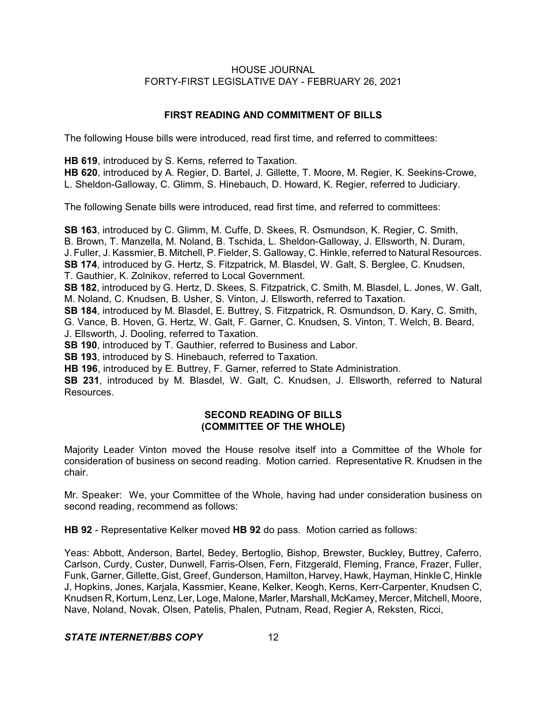# **FIRST READING AND COMMITMENT OF BILLS**

The following House bills were introduced, read first time, and referred to committees:

**HB 619**, introduced by S. Kerns, referred to Taxation.

**HB 620**, introduced by A. Regier, D. Bartel, J. Gillette, T. Moore, M. Regier, K. Seekins-Crowe, L. Sheldon-Galloway, C. Glimm, S. Hinebauch, D. Howard, K. Regier, referred to Judiciary.

The following Senate bills were introduced, read first time, and referred to committees:

**SB 163**, introduced by C. Glimm, M. Cuffe, D. Skees, R. Osmundson, K. Regier, C. Smith, B. Brown, T. Manzella, M. Noland, B. Tschida, L. Sheldon-Galloway, J. Ellsworth, N. Duram, J. Fuller, J. Kassmier, B. Mitchell, P. Fielder, S. Galloway, C. Hinkle, referred to Natural Resources. **SB 174**, introduced by G. Hertz, S. Fitzpatrick, M. Blasdel, W. Galt, S. Berglee, C. Knudsen, T. Gauthier, K. Zolnikov, referred to Local Government.

**SB 182**, introduced by G. Hertz, D. Skees, S. Fitzpatrick, C. Smith, M. Blasdel, L. Jones, W. Galt, M. Noland, C. Knudsen, B. Usher, S. Vinton, J. Ellsworth, referred to Taxation.

**SB 184**, introduced by M. Blasdel, E. Buttrey, S. Fitzpatrick, R. Osmundson, D. Kary, C. Smith, G. Vance, B. Hoven, G. Hertz, W. Galt, F. Garner, C. Knudsen, S. Vinton, T. Welch, B. Beard, J. Ellsworth, J. Dooling, referred to Taxation.

**SB 190**, introduced by T. Gauthier, referred to Business and Labor.

**SB 193**, introduced by S. Hinebauch, referred to Taxation.

**HB 196**, introduced by E. Buttrey, F. Garner, referred to State Administration.

**SB 231**, introduced by M. Blasdel, W. Galt, C. Knudsen, J. Ellsworth, referred to Natural Resources.

# **SECOND READING OF BILLS (COMMITTEE OF THE WHOLE)**

Majority Leader Vinton moved the House resolve itself into a Committee of the Whole for consideration of business on second reading. Motion carried. Representative R. Knudsen in the chair.

Mr. Speaker: We, your Committee of the Whole, having had under consideration business on second reading, recommend as follows:

**HB 92** - Representative Kelker moved **HB 92** do pass. Motion carried as follows:

Yeas: Abbott, Anderson, Bartel, Bedey, Bertoglio, Bishop, Brewster, Buckley, Buttrey, Caferro, Carlson, Curdy, Custer, Dunwell, Farris-Olsen, Fern, Fitzgerald, Fleming, France, Frazer, Fuller, Funk, Garner, Gillette, Gist, Greef, Gunderson, Hamilton, Harvey, Hawk, Hayman, Hinkle C, Hinkle J, Hopkins, Jones, Karjala, Kassmier, Keane, Kelker, Keogh, Kerns, Kerr-Carpenter, Knudsen C, Knudsen R, Kortum, Lenz, Ler, Loge, Malone, Marler, Marshall, McKamey, Mercer, Mitchell, Moore, Nave, Noland, Novak, Olsen, Patelis, Phalen, Putnam, Read, Regier A, Reksten, Ricci,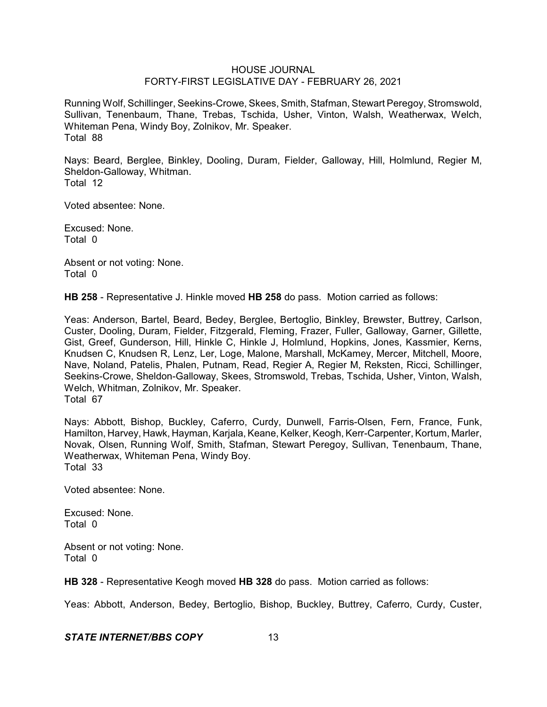Running Wolf, Schillinger, Seekins-Crowe, Skees, Smith, Stafman, Stewart Peregoy, Stromswold, Sullivan, Tenenbaum, Thane, Trebas, Tschida, Usher, Vinton, Walsh, Weatherwax, Welch, Whiteman Pena, Windy Boy, Zolnikov, Mr. Speaker. Total 88

Nays: Beard, Berglee, Binkley, Dooling, Duram, Fielder, Galloway, Hill, Holmlund, Regier M, Sheldon-Galloway, Whitman. Total 12

Voted absentee: None.

Excused: None. Total 0

Absent or not voting: None. Total 0

**HB 258** - Representative J. Hinkle moved **HB 258** do pass. Motion carried as follows:

Yeas: Anderson, Bartel, Beard, Bedey, Berglee, Bertoglio, Binkley, Brewster, Buttrey, Carlson, Custer, Dooling, Duram, Fielder, Fitzgerald, Fleming, Frazer, Fuller, Galloway, Garner, Gillette, Gist, Greef, Gunderson, Hill, Hinkle C, Hinkle J, Holmlund, Hopkins, Jones, Kassmier, Kerns, Knudsen C, Knudsen R, Lenz, Ler, Loge, Malone, Marshall, McKamey, Mercer, Mitchell, Moore, Nave, Noland, Patelis, Phalen, Putnam, Read, Regier A, Regier M, Reksten, Ricci, Schillinger, Seekins-Crowe, Sheldon-Galloway, Skees, Stromswold, Trebas, Tschida, Usher, Vinton, Walsh, Welch, Whitman, Zolnikov, Mr. Speaker. Total 67

Nays: Abbott, Bishop, Buckley, Caferro, Curdy, Dunwell, Farris-Olsen, Fern, France, Funk, Hamilton, Harvey, Hawk, Hayman, Karjala, Keane, Kelker, Keogh, Kerr-Carpenter, Kortum, Marler, Novak, Olsen, Running Wolf, Smith, Stafman, Stewart Peregoy, Sullivan, Tenenbaum, Thane, Weatherwax, Whiteman Pena, Windy Boy. Total 33

Voted absentee: None.

Excused: None. Total 0

Absent or not voting: None. Total 0

**HB 328** - Representative Keogh moved **HB 328** do pass. Motion carried as follows:

Yeas: Abbott, Anderson, Bedey, Bertoglio, Bishop, Buckley, Buttrey, Caferro, Curdy, Custer,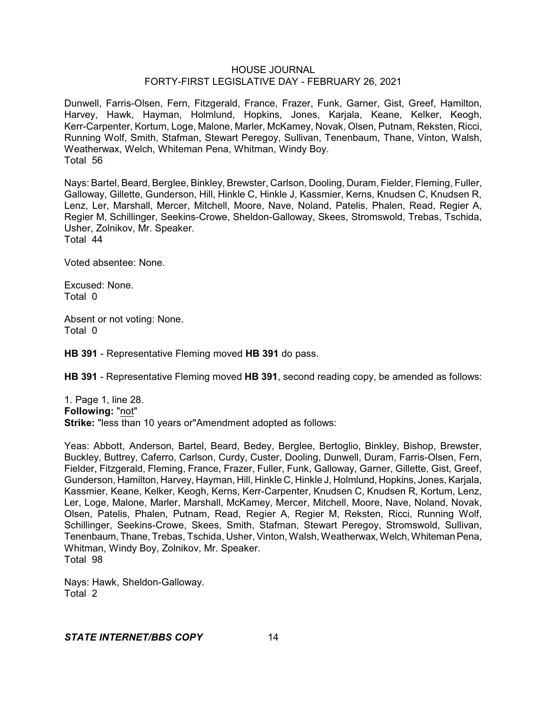Dunwell, Farris-Olsen, Fern, Fitzgerald, France, Frazer, Funk, Garner, Gist, Greef, Hamilton, Harvey, Hawk, Hayman, Holmlund, Hopkins, Jones, Karjala, Keane, Kelker, Keogh, Kerr-Carpenter, Kortum, Loge, Malone, Marler, McKamey, Novak, Olsen, Putnam, Reksten, Ricci, Running Wolf, Smith, Stafman, Stewart Peregoy, Sullivan, Tenenbaum, Thane, Vinton, Walsh, Weatherwax, Welch, Whiteman Pena, Whitman, Windy Boy. Total 56

Nays: Bartel, Beard, Berglee, Binkley, Brewster, Carlson, Dooling, Duram, Fielder, Fleming, Fuller, Galloway, Gillette, Gunderson, Hill, Hinkle C, Hinkle J, Kassmier, Kerns, Knudsen C, Knudsen R, Lenz, Ler, Marshall, Mercer, Mitchell, Moore, Nave, Noland, Patelis, Phalen, Read, Regier A, Regier M, Schillinger, Seekins-Crowe, Sheldon-Galloway, Skees, Stromswold, Trebas, Tschida, Usher, Zolnikov, Mr. Speaker. Total 44

Voted absentee: None.

Excused: None. Total 0

Absent or not voting: None. Total 0

**HB 391** - Representative Fleming moved **HB 391** do pass.

**HB 391** - Representative Fleming moved **HB 391**, second reading copy, be amended as follows:

1. Page 1, line 28. **Following:** "not" **Strike:** "less than 10 years or"Amendment adopted as follows:

Yeas: Abbott, Anderson, Bartel, Beard, Bedey, Berglee, Bertoglio, Binkley, Bishop, Brewster, Buckley, Buttrey, Caferro, Carlson, Curdy, Custer, Dooling, Dunwell, Duram, Farris-Olsen, Fern, Fielder, Fitzgerald, Fleming, France, Frazer, Fuller, Funk, Galloway, Garner, Gillette, Gist, Greef, Gunderson, Hamilton, Harvey, Hayman, Hill, Hinkle C, Hinkle J, Holmlund, Hopkins, Jones, Karjala, Kassmier, Keane, Kelker, Keogh, Kerns, Kerr-Carpenter, Knudsen C, Knudsen R, Kortum, Lenz, Ler, Loge, Malone, Marler, Marshall, McKamey, Mercer, Mitchell, Moore, Nave, Noland, Novak, Olsen, Patelis, Phalen, Putnam, Read, Regier A, Regier M, Reksten, Ricci, Running Wolf, Schillinger, Seekins-Crowe, Skees, Smith, Stafman, Stewart Peregoy, Stromswold, Sullivan, Tenenbaum, Thane, Trebas, Tschida, Usher, Vinton, Walsh, Weatherwax, Welch, Whiteman Pena, Whitman, Windy Boy, Zolnikov, Mr. Speaker. Total 98

Nays: Hawk, Sheldon-Galloway. Total 2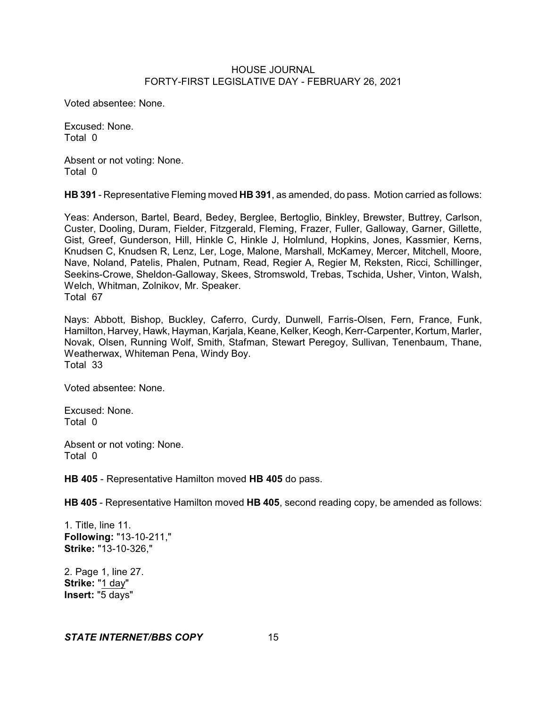Voted absentee: None.

Excused: None. Total 0

Absent or not voting: None. Total 0

**HB 391** - Representative Fleming moved **HB 391**, as amended, do pass. Motion carried as follows:

Yeas: Anderson, Bartel, Beard, Bedey, Berglee, Bertoglio, Binkley, Brewster, Buttrey, Carlson, Custer, Dooling, Duram, Fielder, Fitzgerald, Fleming, Frazer, Fuller, Galloway, Garner, Gillette, Gist, Greef, Gunderson, Hill, Hinkle C, Hinkle J, Holmlund, Hopkins, Jones, Kassmier, Kerns, Knudsen C, Knudsen R, Lenz, Ler, Loge, Malone, Marshall, McKamey, Mercer, Mitchell, Moore, Nave, Noland, Patelis, Phalen, Putnam, Read, Regier A, Regier M, Reksten, Ricci, Schillinger, Seekins-Crowe, Sheldon-Galloway, Skees, Stromswold, Trebas, Tschida, Usher, Vinton, Walsh, Welch, Whitman, Zolnikov, Mr. Speaker. Total 67

Nays: Abbott, Bishop, Buckley, Caferro, Curdy, Dunwell, Farris-Olsen, Fern, France, Funk, Hamilton, Harvey, Hawk, Hayman, Karjala, Keane, Kelker, Keogh, Kerr-Carpenter, Kortum, Marler, Novak, Olsen, Running Wolf, Smith, Stafman, Stewart Peregoy, Sullivan, Tenenbaum, Thane, Weatherwax, Whiteman Pena, Windy Boy. Total 33

Voted absentee: None.

Excused: None. Total 0

Absent or not voting: None. Total 0

**HB 405** - Representative Hamilton moved **HB 405** do pass.

**HB 405** - Representative Hamilton moved **HB 405**, second reading copy, be amended as follows:

1. Title, line 11. **Following:** "13-10-211," **Strike:** "13-10-326,"

2. Page 1, line 27. **Strike:** "1 day" **Insert:** "5 days"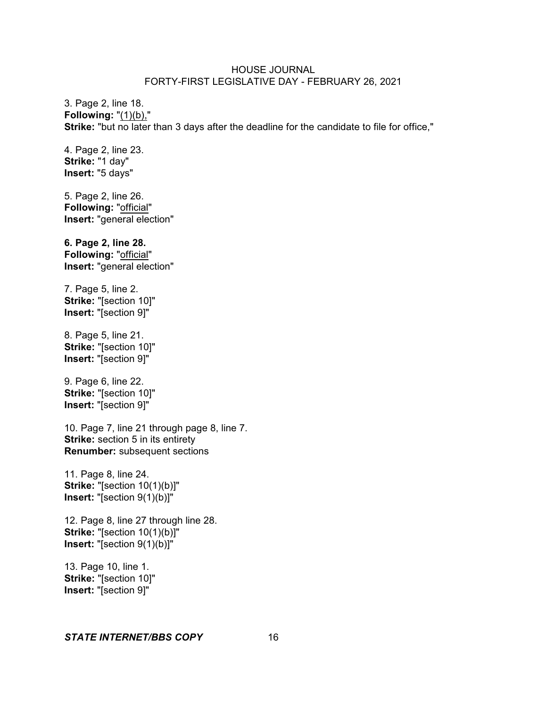3. Page 2, line 18. **Following:** "(1)(b)," **Strike:** "but no later than 3 days after the deadline for the candidate to file for office,"

4. Page 2, line 23. **Strike:** "1 day" **Insert:** "5 days"

5. Page 2, line 26. **Following:** "official" **Insert:** "general election"

**6. Page 2, line 28. Following:** "official" **Insert:** "general election"

7. Page 5, line 2. **Strike:** "[section 10]" **Insert:** "[section 9]"

8. Page 5, line 21. **Strike:** "[section 10]" **Insert:** "[section 9]"

9. Page 6, line 22. **Strike:** "[section 10]" **Insert:** "[section 9]"

10. Page 7, line 21 through page 8, line 7. **Strike:** section 5 in its entirety **Renumber:** subsequent sections

11. Page 8, line 24. **Strike:** "[section 10(1)(b)]" **Insert:** "[section 9(1)(b)]"

12. Page 8, line 27 through line 28. **Strike:** "[section 10(1)(b)]" **Insert:** "[section 9(1)(b)]"

13. Page 10, line 1. **Strike:** "[section 10]" **Insert:** "[section 9]"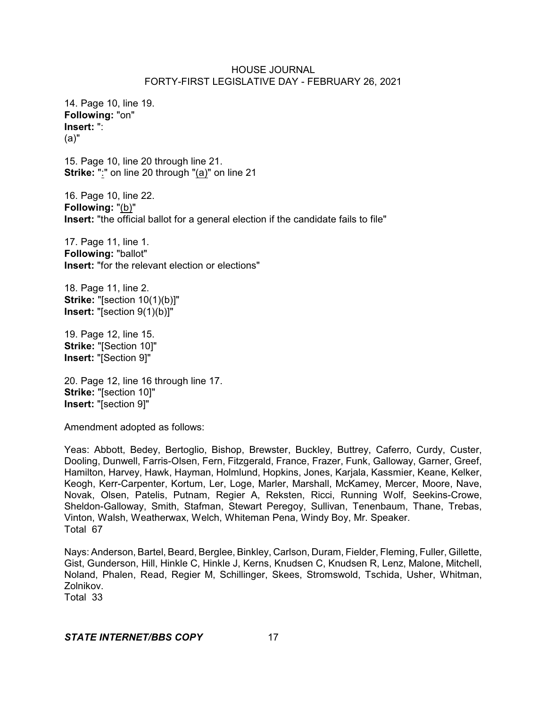14. Page 10, line 19. **Following:** "on" **Insert:** ": (a)"

15. Page 10, line 20 through line 21. **Strike:** ":" on line 20 through "(a)" on line 21

16. Page 10, line 22. **Following:** "(b)" **Insert:** "the official ballot for a general election if the candidate fails to file"

17. Page 11, line 1. **Following:** "ballot" **Insert:** "for the relevant election or elections"

18. Page 11, line 2. **Strike:** "[section 10(1)(b)]" **Insert:** "[section 9(1)(b)]"

19. Page 12, line 15. **Strike:** "[Section 10]" **Insert:** "[Section 9]"

20. Page 12, line 16 through line 17. **Strike:** "[section 10]" **Insert:** "[section 9]"

Amendment adopted as follows:

Yeas: Abbott, Bedey, Bertoglio, Bishop, Brewster, Buckley, Buttrey, Caferro, Curdy, Custer, Dooling, Dunwell, Farris-Olsen, Fern, Fitzgerald, France, Frazer, Funk, Galloway, Garner, Greef, Hamilton, Harvey, Hawk, Hayman, Holmlund, Hopkins, Jones, Karjala, Kassmier, Keane, Kelker, Keogh, Kerr-Carpenter, Kortum, Ler, Loge, Marler, Marshall, McKamey, Mercer, Moore, Nave, Novak, Olsen, Patelis, Putnam, Regier A, Reksten, Ricci, Running Wolf, Seekins-Crowe, Sheldon-Galloway, Smith, Stafman, Stewart Peregoy, Sullivan, Tenenbaum, Thane, Trebas, Vinton, Walsh, Weatherwax, Welch, Whiteman Pena, Windy Boy, Mr. Speaker. Total 67

Nays: Anderson, Bartel, Beard, Berglee, Binkley, Carlson, Duram, Fielder, Fleming, Fuller, Gillette, Gist, Gunderson, Hill, Hinkle C, Hinkle J, Kerns, Knudsen C, Knudsen R, Lenz, Malone, Mitchell, Noland, Phalen, Read, Regier M, Schillinger, Skees, Stromswold, Tschida, Usher, Whitman, Zolnikov.

Total 33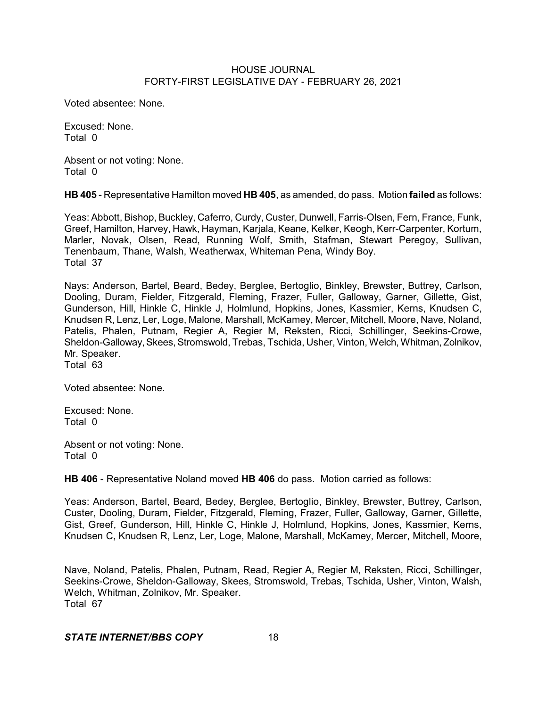Voted absentee: None.

Excused: None. Total 0

Absent or not voting: None. Total 0

**HB 405** - Representative Hamilton moved **HB 405**, as amended, do pass. Motion **failed** as follows:

Yeas: Abbott, Bishop, Buckley, Caferro, Curdy, Custer, Dunwell, Farris-Olsen, Fern, France, Funk, Greef, Hamilton, Harvey, Hawk, Hayman, Karjala, Keane, Kelker, Keogh, Kerr-Carpenter, Kortum, Marler, Novak, Olsen, Read, Running Wolf, Smith, Stafman, Stewart Peregoy, Sullivan, Tenenbaum, Thane, Walsh, Weatherwax, Whiteman Pena, Windy Boy. Total 37

Nays: Anderson, Bartel, Beard, Bedey, Berglee, Bertoglio, Binkley, Brewster, Buttrey, Carlson, Dooling, Duram, Fielder, Fitzgerald, Fleming, Frazer, Fuller, Galloway, Garner, Gillette, Gist, Gunderson, Hill, Hinkle C, Hinkle J, Holmlund, Hopkins, Jones, Kassmier, Kerns, Knudsen C, Knudsen R, Lenz, Ler, Loge, Malone, Marshall, McKamey, Mercer, Mitchell, Moore, Nave, Noland, Patelis, Phalen, Putnam, Regier A, Regier M, Reksten, Ricci, Schillinger, Seekins-Crowe, Sheldon-Galloway, Skees, Stromswold, Trebas, Tschida, Usher, Vinton, Welch, Whitman, Zolnikov, Mr. Speaker. Total 63

Voted absentee: None.

Excused: None. Total 0

Absent or not voting: None. Total 0

**HB 406** - Representative Noland moved **HB 406** do pass. Motion carried as follows:

Yeas: Anderson, Bartel, Beard, Bedey, Berglee, Bertoglio, Binkley, Brewster, Buttrey, Carlson, Custer, Dooling, Duram, Fielder, Fitzgerald, Fleming, Frazer, Fuller, Galloway, Garner, Gillette, Gist, Greef, Gunderson, Hill, Hinkle C, Hinkle J, Holmlund, Hopkins, Jones, Kassmier, Kerns, Knudsen C, Knudsen R, Lenz, Ler, Loge, Malone, Marshall, McKamey, Mercer, Mitchell, Moore,

Nave, Noland, Patelis, Phalen, Putnam, Read, Regier A, Regier M, Reksten, Ricci, Schillinger, Seekins-Crowe, Sheldon-Galloway, Skees, Stromswold, Trebas, Tschida, Usher, Vinton, Walsh, Welch, Whitman, Zolnikov, Mr. Speaker. Total 67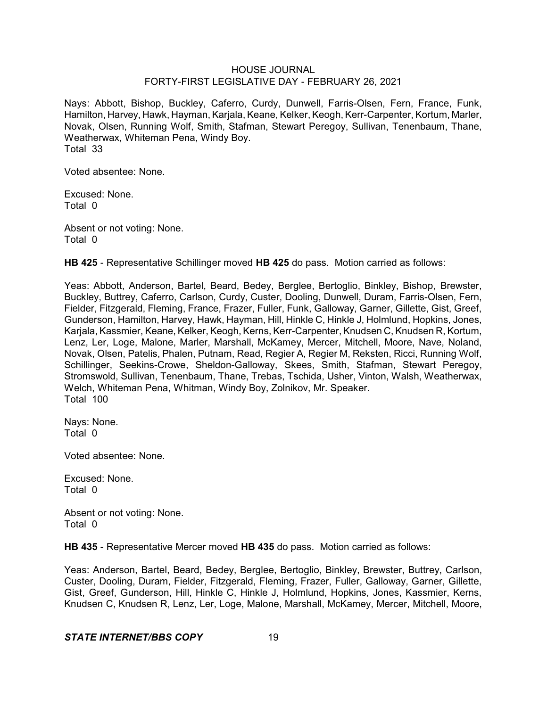Nays: Abbott, Bishop, Buckley, Caferro, Curdy, Dunwell, Farris-Olsen, Fern, France, Funk, Hamilton, Harvey, Hawk, Hayman, Karjala, Keane, Kelker, Keogh, Kerr-Carpenter, Kortum, Marler, Novak, Olsen, Running Wolf, Smith, Stafman, Stewart Peregoy, Sullivan, Tenenbaum, Thane, Weatherwax, Whiteman Pena, Windy Boy. Total 33

Voted absentee: None.

Excused: None. Total 0

Absent or not voting: None. Total 0

**HB 425** - Representative Schillinger moved **HB 425** do pass. Motion carried as follows:

Yeas: Abbott, Anderson, Bartel, Beard, Bedey, Berglee, Bertoglio, Binkley, Bishop, Brewster, Buckley, Buttrey, Caferro, Carlson, Curdy, Custer, Dooling, Dunwell, Duram, Farris-Olsen, Fern, Fielder, Fitzgerald, Fleming, France, Frazer, Fuller, Funk, Galloway, Garner, Gillette, Gist, Greef, Gunderson, Hamilton, Harvey, Hawk, Hayman, Hill, Hinkle C, Hinkle J, Holmlund, Hopkins, Jones, Karjala, Kassmier, Keane, Kelker, Keogh, Kerns, Kerr-Carpenter, Knudsen C, Knudsen R, Kortum, Lenz, Ler, Loge, Malone, Marler, Marshall, McKamey, Mercer, Mitchell, Moore, Nave, Noland, Novak, Olsen, Patelis, Phalen, Putnam, Read, Regier A, Regier M, Reksten, Ricci, Running Wolf, Schillinger, Seekins-Crowe, Sheldon-Galloway, Skees, Smith, Stafman, Stewart Peregoy, Stromswold, Sullivan, Tenenbaum, Thane, Trebas, Tschida, Usher, Vinton, Walsh, Weatherwax, Welch, Whiteman Pena, Whitman, Windy Boy, Zolnikov, Mr. Speaker. Total 100

Nays: None. Total 0

Voted absentee: None.

Excused: None. Total 0

Absent or not voting: None. Total 0

**HB 435** - Representative Mercer moved **HB 435** do pass. Motion carried as follows:

Yeas: Anderson, Bartel, Beard, Bedey, Berglee, Bertoglio, Binkley, Brewster, Buttrey, Carlson, Custer, Dooling, Duram, Fielder, Fitzgerald, Fleming, Frazer, Fuller, Galloway, Garner, Gillette, Gist, Greef, Gunderson, Hill, Hinkle C, Hinkle J, Holmlund, Hopkins, Jones, Kassmier, Kerns, Knudsen C, Knudsen R, Lenz, Ler, Loge, Malone, Marshall, McKamey, Mercer, Mitchell, Moore,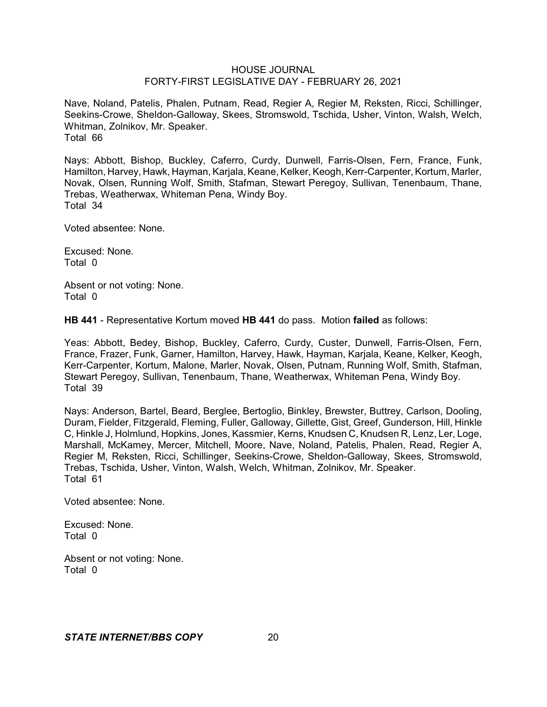Nave, Noland, Patelis, Phalen, Putnam, Read, Regier A, Regier M, Reksten, Ricci, Schillinger, Seekins-Crowe, Sheldon-Galloway, Skees, Stromswold, Tschida, Usher, Vinton, Walsh, Welch, Whitman, Zolnikov, Mr. Speaker. Total 66

Nays: Abbott, Bishop, Buckley, Caferro, Curdy, Dunwell, Farris-Olsen, Fern, France, Funk, Hamilton, Harvey, Hawk, Hayman, Karjala, Keane, Kelker, Keogh, Kerr-Carpenter, Kortum, Marler, Novak, Olsen, Running Wolf, Smith, Stafman, Stewart Peregoy, Sullivan, Tenenbaum, Thane, Trebas, Weatherwax, Whiteman Pena, Windy Boy. Total 34

Voted absentee: None.

Excused: None. Total 0

Absent or not voting: None. Total 0

**HB 441** - Representative Kortum moved **HB 441** do pass. Motion **failed** as follows:

Yeas: Abbott, Bedey, Bishop, Buckley, Caferro, Curdy, Custer, Dunwell, Farris-Olsen, Fern, France, Frazer, Funk, Garner, Hamilton, Harvey, Hawk, Hayman, Karjala, Keane, Kelker, Keogh, Kerr-Carpenter, Kortum, Malone, Marler, Novak, Olsen, Putnam, Running Wolf, Smith, Stafman, Stewart Peregoy, Sullivan, Tenenbaum, Thane, Weatherwax, Whiteman Pena, Windy Boy. Total 39

Nays: Anderson, Bartel, Beard, Berglee, Bertoglio, Binkley, Brewster, Buttrey, Carlson, Dooling, Duram, Fielder, Fitzgerald, Fleming, Fuller, Galloway, Gillette, Gist, Greef, Gunderson, Hill, Hinkle C, Hinkle J, Holmlund, Hopkins, Jones, Kassmier, Kerns, Knudsen C, Knudsen R, Lenz, Ler, Loge, Marshall, McKamey, Mercer, Mitchell, Moore, Nave, Noland, Patelis, Phalen, Read, Regier A, Regier M, Reksten, Ricci, Schillinger, Seekins-Crowe, Sheldon-Galloway, Skees, Stromswold, Trebas, Tschida, Usher, Vinton, Walsh, Welch, Whitman, Zolnikov, Mr. Speaker. Total 61

Voted absentee: None.

Excused: None. Total 0

Absent or not voting: None. Total 0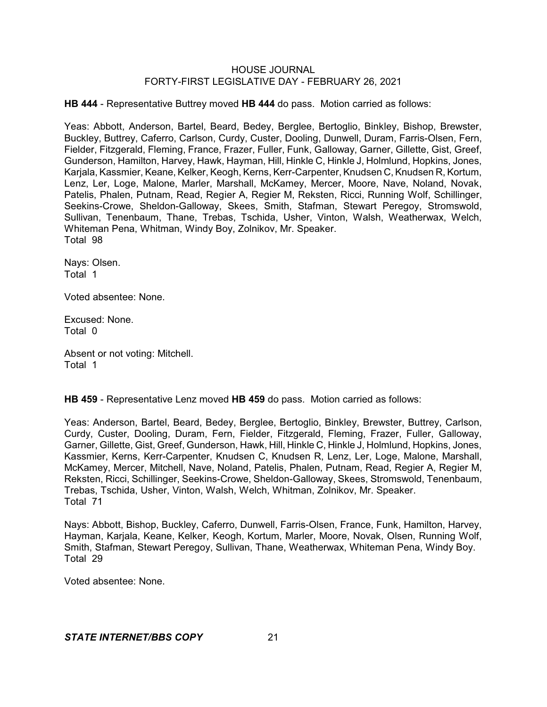**HB 444** - Representative Buttrey moved **HB 444** do pass. Motion carried as follows:

Yeas: Abbott, Anderson, Bartel, Beard, Bedey, Berglee, Bertoglio, Binkley, Bishop, Brewster, Buckley, Buttrey, Caferro, Carlson, Curdy, Custer, Dooling, Dunwell, Duram, Farris-Olsen, Fern, Fielder, Fitzgerald, Fleming, France, Frazer, Fuller, Funk, Galloway, Garner, Gillette, Gist, Greef, Gunderson, Hamilton, Harvey, Hawk, Hayman, Hill, Hinkle C, Hinkle J, Holmlund, Hopkins, Jones, Karjala, Kassmier, Keane, Kelker, Keogh, Kerns, Kerr-Carpenter, Knudsen C, Knudsen R, Kortum, Lenz, Ler, Loge, Malone, Marler, Marshall, McKamey, Mercer, Moore, Nave, Noland, Novak, Patelis, Phalen, Putnam, Read, Regier A, Regier M, Reksten, Ricci, Running Wolf, Schillinger, Seekins-Crowe, Sheldon-Galloway, Skees, Smith, Stafman, Stewart Peregoy, Stromswold, Sullivan, Tenenbaum, Thane, Trebas, Tschida, Usher, Vinton, Walsh, Weatherwax, Welch, Whiteman Pena, Whitman, Windy Boy, Zolnikov, Mr. Speaker. Total 98

Nays: Olsen. Total 1

Voted absentee: None.

Excused: None. Total 0

Absent or not voting: Mitchell. Total 1

**HB 459** - Representative Lenz moved **HB 459** do pass. Motion carried as follows:

Yeas: Anderson, Bartel, Beard, Bedey, Berglee, Bertoglio, Binkley, Brewster, Buttrey, Carlson, Curdy, Custer, Dooling, Duram, Fern, Fielder, Fitzgerald, Fleming, Frazer, Fuller, Galloway, Garner, Gillette, Gist, Greef, Gunderson, Hawk, Hill, Hinkle C, Hinkle J, Holmlund, Hopkins, Jones, Kassmier, Kerns, Kerr-Carpenter, Knudsen C, Knudsen R, Lenz, Ler, Loge, Malone, Marshall, McKamey, Mercer, Mitchell, Nave, Noland, Patelis, Phalen, Putnam, Read, Regier A, Regier M, Reksten, Ricci, Schillinger, Seekins-Crowe, Sheldon-Galloway, Skees, Stromswold, Tenenbaum, Trebas, Tschida, Usher, Vinton, Walsh, Welch, Whitman, Zolnikov, Mr. Speaker. Total 71

Nays: Abbott, Bishop, Buckley, Caferro, Dunwell, Farris-Olsen, France, Funk, Hamilton, Harvey, Hayman, Karjala, Keane, Kelker, Keogh, Kortum, Marler, Moore, Novak, Olsen, Running Wolf, Smith, Stafman, Stewart Peregoy, Sullivan, Thane, Weatherwax, Whiteman Pena, Windy Boy. Total 29

Voted absentee: None.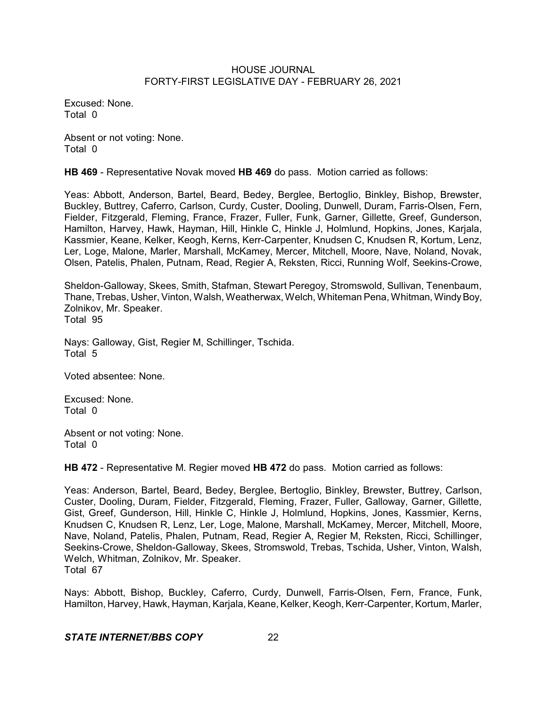Excused: None. Total 0

Absent or not voting: None. Total 0

**HB 469** - Representative Novak moved **HB 469** do pass. Motion carried as follows:

Yeas: Abbott, Anderson, Bartel, Beard, Bedey, Berglee, Bertoglio, Binkley, Bishop, Brewster, Buckley, Buttrey, Caferro, Carlson, Curdy, Custer, Dooling, Dunwell, Duram, Farris-Olsen, Fern, Fielder, Fitzgerald, Fleming, France, Frazer, Fuller, Funk, Garner, Gillette, Greef, Gunderson, Hamilton, Harvey, Hawk, Hayman, Hill, Hinkle C, Hinkle J, Holmlund, Hopkins, Jones, Karjala, Kassmier, Keane, Kelker, Keogh, Kerns, Kerr-Carpenter, Knudsen C, Knudsen R, Kortum, Lenz, Ler, Loge, Malone, Marler, Marshall, McKamey, Mercer, Mitchell, Moore, Nave, Noland, Novak, Olsen, Patelis, Phalen, Putnam, Read, Regier A, Reksten, Ricci, Running Wolf, Seekins-Crowe,

Sheldon-Galloway, Skees, Smith, Stafman, Stewart Peregoy, Stromswold, Sullivan, Tenenbaum, Thane, Trebas, Usher, Vinton, Walsh, Weatherwax, Welch, Whiteman Pena, Whitman, WindyBoy, Zolnikov, Mr. Speaker. Total 95

Nays: Galloway, Gist, Regier M, Schillinger, Tschida. Total 5

Voted absentee: None.

Excused: None. Total 0

Absent or not voting: None. Total 0

**HB 472** - Representative M. Regier moved **HB 472** do pass. Motion carried as follows:

Yeas: Anderson, Bartel, Beard, Bedey, Berglee, Bertoglio, Binkley, Brewster, Buttrey, Carlson, Custer, Dooling, Duram, Fielder, Fitzgerald, Fleming, Frazer, Fuller, Galloway, Garner, Gillette, Gist, Greef, Gunderson, Hill, Hinkle C, Hinkle J, Holmlund, Hopkins, Jones, Kassmier, Kerns, Knudsen C, Knudsen R, Lenz, Ler, Loge, Malone, Marshall, McKamey, Mercer, Mitchell, Moore, Nave, Noland, Patelis, Phalen, Putnam, Read, Regier A, Regier M, Reksten, Ricci, Schillinger, Seekins-Crowe, Sheldon-Galloway, Skees, Stromswold, Trebas, Tschida, Usher, Vinton, Walsh, Welch, Whitman, Zolnikov, Mr. Speaker. Total 67

Nays: Abbott, Bishop, Buckley, Caferro, Curdy, Dunwell, Farris-Olsen, Fern, France, Funk, Hamilton, Harvey, Hawk, Hayman, Karjala, Keane, Kelker, Keogh, Kerr-Carpenter, Kortum, Marler,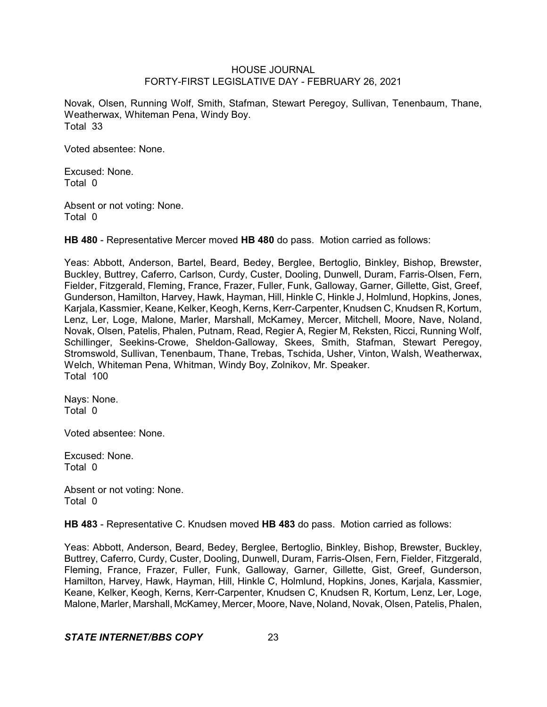Novak, Olsen, Running Wolf, Smith, Stafman, Stewart Peregoy, Sullivan, Tenenbaum, Thane, Weatherwax, Whiteman Pena, Windy Boy. Total 33

Voted absentee: None.

Excused: None. Total 0

Absent or not voting: None. Total 0

**HB 480** - Representative Mercer moved **HB 480** do pass. Motion carried as follows:

Yeas: Abbott, Anderson, Bartel, Beard, Bedey, Berglee, Bertoglio, Binkley, Bishop, Brewster, Buckley, Buttrey, Caferro, Carlson, Curdy, Custer, Dooling, Dunwell, Duram, Farris-Olsen, Fern, Fielder, Fitzgerald, Fleming, France, Frazer, Fuller, Funk, Galloway, Garner, Gillette, Gist, Greef, Gunderson, Hamilton, Harvey, Hawk, Hayman, Hill, Hinkle C, Hinkle J, Holmlund, Hopkins, Jones, Karjala, Kassmier, Keane, Kelker, Keogh, Kerns, Kerr-Carpenter, Knudsen C, Knudsen R, Kortum, Lenz, Ler, Loge, Malone, Marler, Marshall, McKamey, Mercer, Mitchell, Moore, Nave, Noland, Novak, Olsen, Patelis, Phalen, Putnam, Read, Regier A, Regier M, Reksten, Ricci, Running Wolf, Schillinger, Seekins-Crowe, Sheldon-Galloway, Skees, Smith, Stafman, Stewart Peregoy, Stromswold, Sullivan, Tenenbaum, Thane, Trebas, Tschida, Usher, Vinton, Walsh, Weatherwax, Welch, Whiteman Pena, Whitman, Windy Boy, Zolnikov, Mr. Speaker. Total 100

Nays: None. Total 0

Voted absentee: None.

Excused: None. Total 0

Absent or not voting: None. Total 0

**HB 483** - Representative C. Knudsen moved **HB 483** do pass. Motion carried as follows:

Yeas: Abbott, Anderson, Beard, Bedey, Berglee, Bertoglio, Binkley, Bishop, Brewster, Buckley, Buttrey, Caferro, Curdy, Custer, Dooling, Dunwell, Duram, Farris-Olsen, Fern, Fielder, Fitzgerald, Fleming, France, Frazer, Fuller, Funk, Galloway, Garner, Gillette, Gist, Greef, Gunderson, Hamilton, Harvey, Hawk, Hayman, Hill, Hinkle C, Holmlund, Hopkins, Jones, Karjala, Kassmier, Keane, Kelker, Keogh, Kerns, Kerr-Carpenter, Knudsen C, Knudsen R, Kortum, Lenz, Ler, Loge, Malone, Marler, Marshall, McKamey, Mercer, Moore, Nave, Noland, Novak, Olsen, Patelis, Phalen,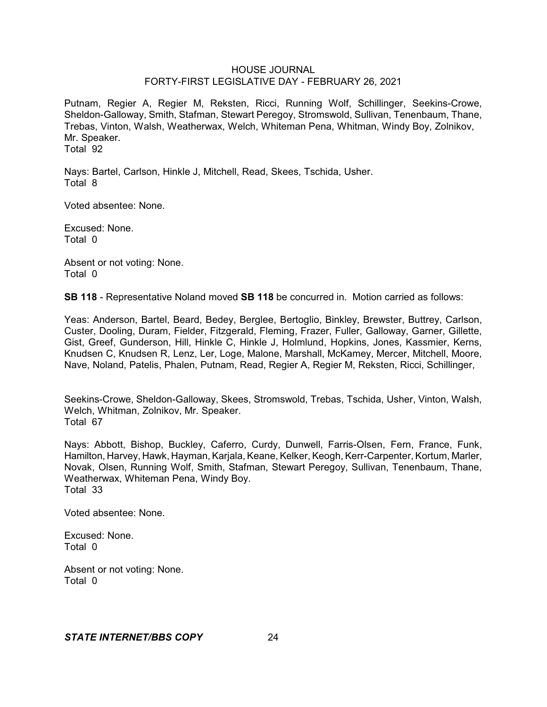Putnam, Regier A, Regier M, Reksten, Ricci, Running Wolf, Schillinger, Seekins-Crowe, Sheldon-Galloway, Smith, Stafman, Stewart Peregoy, Stromswold, Sullivan, Tenenbaum, Thane, Trebas, Vinton, Walsh, Weatherwax, Welch, Whiteman Pena, Whitman, Windy Boy, Zolnikov, Mr. Speaker. Total 92

Nays: Bartel, Carlson, Hinkle J, Mitchell, Read, Skees, Tschida, Usher. Total 8

Voted absentee: None.

Excused: None. Total 0

Absent or not voting: None. Total 0

**SB 118** - Representative Noland moved **SB 118** be concurred in. Motion carried as follows:

Yeas: Anderson, Bartel, Beard, Bedey, Berglee, Bertoglio, Binkley, Brewster, Buttrey, Carlson, Custer, Dooling, Duram, Fielder, Fitzgerald, Fleming, Frazer, Fuller, Galloway, Garner, Gillette, Gist, Greef, Gunderson, Hill, Hinkle C, Hinkle J, Holmlund, Hopkins, Jones, Kassmier, Kerns, Knudsen C, Knudsen R, Lenz, Ler, Loge, Malone, Marshall, McKamey, Mercer, Mitchell, Moore, Nave, Noland, Patelis, Phalen, Putnam, Read, Regier A, Regier M, Reksten, Ricci, Schillinger,

Seekins-Crowe, Sheldon-Galloway, Skees, Stromswold, Trebas, Tschida, Usher, Vinton, Walsh, Welch, Whitman, Zolnikov, Mr. Speaker. Total 67

Nays: Abbott, Bishop, Buckley, Caferro, Curdy, Dunwell, Farris-Olsen, Fern, France, Funk, Hamilton, Harvey, Hawk, Hayman, Karjala, Keane, Kelker, Keogh, Kerr-Carpenter, Kortum, Marler, Novak, Olsen, Running Wolf, Smith, Stafman, Stewart Peregoy, Sullivan, Tenenbaum, Thane, Weatherwax, Whiteman Pena, Windy Boy. Total 33

Voted absentee: None.

Excused: None. Total 0

Absent or not voting: None. Total 0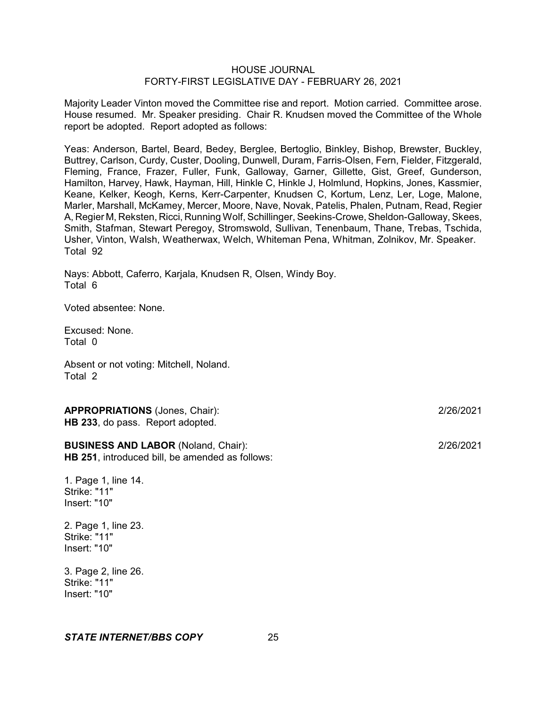Majority Leader Vinton moved the Committee rise and report. Motion carried. Committee arose. House resumed. Mr. Speaker presiding. Chair R. Knudsen moved the Committee of the Whole report be adopted. Report adopted as follows:

Yeas: Anderson, Bartel, Beard, Bedey, Berglee, Bertoglio, Binkley, Bishop, Brewster, Buckley, Buttrey, Carlson, Curdy, Custer, Dooling, Dunwell, Duram, Farris-Olsen, Fern, Fielder, Fitzgerald, Fleming, France, Frazer, Fuller, Funk, Galloway, Garner, Gillette, Gist, Greef, Gunderson, Hamilton, Harvey, Hawk, Hayman, Hill, Hinkle C, Hinkle J, Holmlund, Hopkins, Jones, Kassmier, Keane, Kelker, Keogh, Kerns, Kerr-Carpenter, Knudsen C, Kortum, Lenz, Ler, Loge, Malone, Marler, Marshall, McKamey, Mercer, Moore, Nave, Novak, Patelis, Phalen, Putnam, Read, Regier A, Regier M, Reksten, Ricci, Running Wolf, Schillinger, Seekins-Crowe, Sheldon-Galloway, Skees, Smith, Stafman, Stewart Peregoy, Stromswold, Sullivan, Tenenbaum, Thane, Trebas, Tschida, Usher, Vinton, Walsh, Weatherwax, Welch, Whiteman Pena, Whitman, Zolnikov, Mr. Speaker. Total 92

Nays: Abbott, Caferro, Karjala, Knudsen R, Olsen, Windy Boy. Total 6

Voted absentee: None.

Excused: None. Total 0

Absent or not voting: Mitchell, Noland. Total 2

**APPROPRIATIONS** (Jones, Chair): 2/26/2021 **HB 233**, do pass. Report adopted.

**BUSINESS AND LABOR** (Noland, Chair): 2/26/2021 **HB 251**, introduced bill, be amended as follows:

1. Page 1, line 14. Strike: "11" Insert: "10"

2. Page 1, line 23. Strike: "11" Insert: "10"

3. Page 2, line 26. Strike: "11" Insert: "10"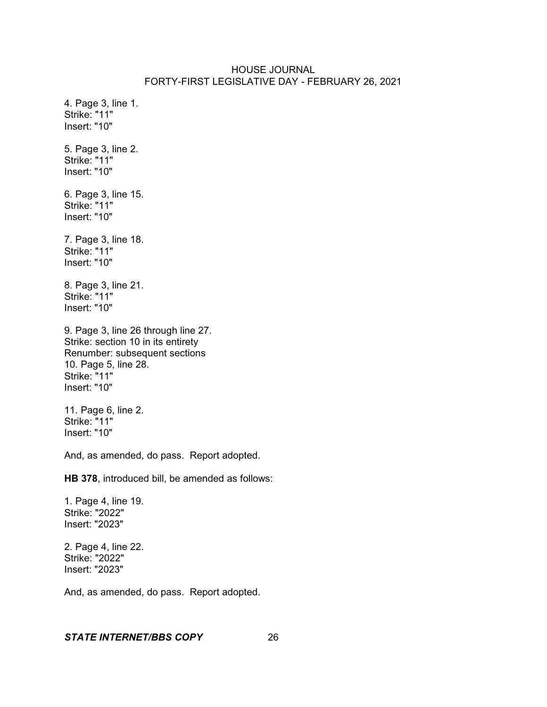4. Page 3, line 1. Strike: "11" Insert: "10" 5. Page 3, line 2. Strike: "11" Insert: "10" 6. Page 3, line 15. Strike: "11" Insert: "10" 7. Page 3, line 18. Strike: "11" Insert: "10" 8. Page 3, line 21. Strike: "11" Insert: "10" 9. Page 3, line 26 through line 27. Strike: section 10 in its entirety Renumber: subsequent sections 10. Page 5, line 28. Strike: "11" Insert: "10" 11. Page 6, line 2. Strike: "11" Insert: "10" And, as amended, do pass. Report adopted. **HB 378**, introduced bill, be amended as follows: 1. Page 4, line 19. Strike: "2022" Insert: "2023" 2. Page 4, line 22. Strike: "2022"

And, as amended, do pass. Report adopted.

#### *STATE INTERNET/BBS COPY* 26

Insert: "2023"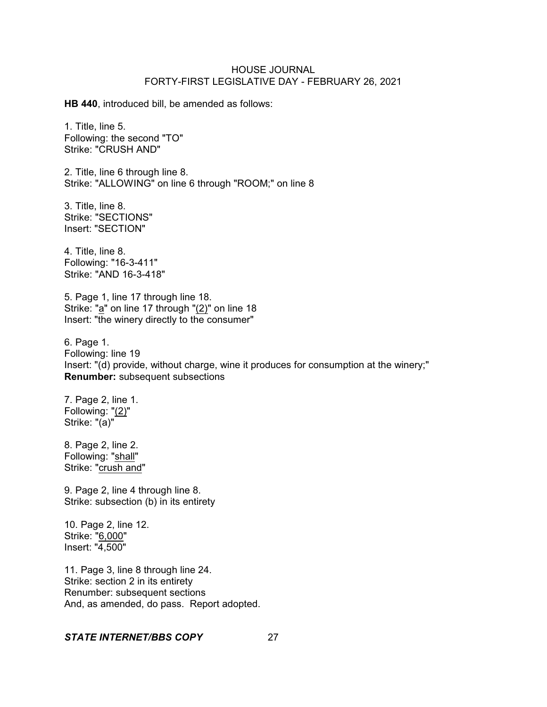**HB 440**, introduced bill, be amended as follows:

1. Title, line 5. Following: the second "TO" Strike: "CRUSH AND"

2. Title, line 6 through line 8. Strike: "ALLOWING" on line 6 through "ROOM;" on line 8

3. Title, line 8. Strike: "SECTIONS" Insert: "SECTION"

4. Title, line 8. Following: "16-3-411" Strike: "AND 16-3-418"

5. Page 1, line 17 through line 18. Strike: "a" on line 17 through "(2)" on line 18 Insert: "the winery directly to the consumer"

6. Page 1. Following: line 19 Insert: "(d) provide, without charge, wine it produces for consumption at the winery;" **Renumber:** subsequent subsections

7. Page 2, line 1. Following: "(2)" Strike: "(a)"

8. Page 2, line 2. Following: "shall" Strike: "crush and"

9. Page 2, line 4 through line 8. Strike: subsection (b) in its entirety

10. Page 2, line 12. Strike: "6,000" Insert: "4,500"

11. Page 3, line 8 through line 24. Strike: section 2 in its entirety Renumber: subsequent sections And, as amended, do pass. Report adopted.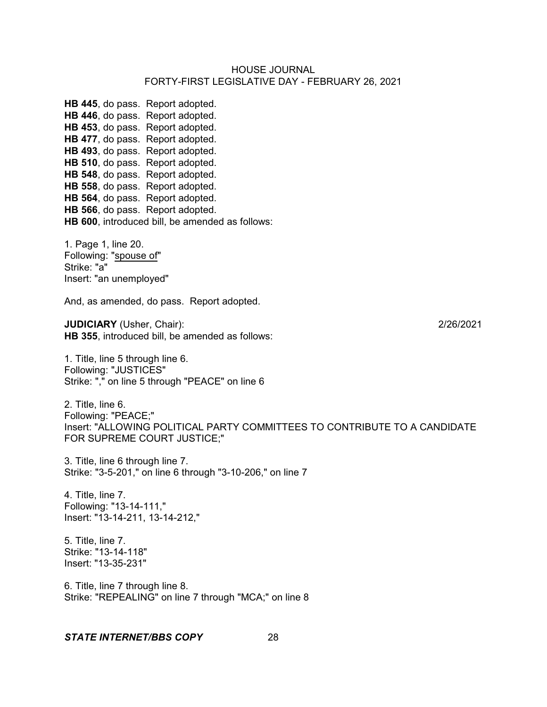**HB 445**, do pass. Report adopted. **HB 446**, do pass. Report adopted. **HB 453**, do pass. Report adopted. **HB 477**, do pass. Report adopted. **HB 493**, do pass. Report adopted. **HB 510**, do pass. Report adopted. **HB 548**, do pass. Report adopted. **HB 558**, do pass. Report adopted. **HB 564**, do pass. Report adopted. **HB 566**, do pass. Report adopted. **HB 600**, introduced bill, be amended as follows:

1. Page 1, line 20. Following: "spouse of" Strike: "a" Insert: "an unemployed"

And, as amended, do pass. Report adopted.

**JUDICIARY** (Usher, Chair): 2/26/2021 **HB 355**, introduced bill, be amended as follows:

1. Title, line 5 through line 6. Following: "JUSTICES" Strike: "," on line 5 through "PEACE" on line 6

2. Title, line 6. Following: "PEACE;" Insert: "ALLOWING POLITICAL PARTY COMMITTEES TO CONTRIBUTE TO A CANDIDATE FOR SUPREME COURT JUSTICE;"

3. Title, line 6 through line 7. Strike: "3-5-201," on line 6 through "3-10-206," on line 7

4. Title, line 7. Following: "13-14-111," Insert: "13-14-211, 13-14-212,"

5. Title, line 7. Strike: "13-14-118" Insert: "13-35-231"

6. Title, line 7 through line 8. Strike: "REPEALING" on line 7 through "MCA;" on line 8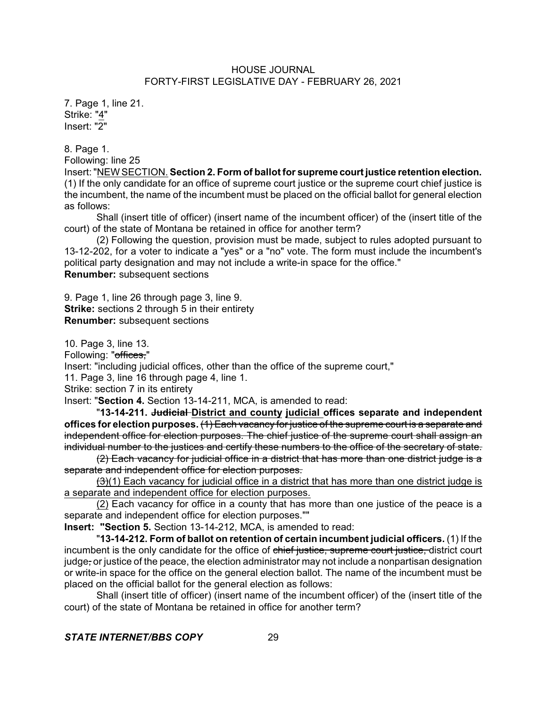7. Page 1, line 21. Strike: "4" Insert: "2"

8. Page 1.

Following: line 25

Insert:"NEW SECTION. **Section 2. Form of ballot for supreme court justice retention election.** (1) If the only candidate for an office of supreme court justice or the supreme court chief justice is the incumbent, the name of the incumbent must be placed on the official ballot for general election as follows:

Shall (insert title of officer) (insert name of the incumbent officer) of the (insert title of the court) of the state of Montana be retained in office for another term?

(2) Following the question, provision must be made, subject to rules adopted pursuant to 13-12-202, for a voter to indicate a "yes" or a "no" vote. The form must include the incumbent's political party designation and may not include a write-in space for the office." **Renumber:** subsequent sections

9. Page 1, line 26 through page 3, line 9.

**Strike:** sections 2 through 5 in their entirety **Renumber:** subsequent sections

10. Page 3, line 13.

Following: "offices."

Insert: "including judicial offices, other than the office of the supreme court,"

11. Page 3, line 16 through page 4, line 1.

Strike: section 7 in its entirety

Insert: "**Section 4.** Section 13-14-211, MCA, is amended to read:

"**13-14-211. Judicial District and county judicial offices separate and independent** offices for election purposes. (1) Each vacancy for justice of the supreme court is a separate and independent office for election purposes. The chief justice of the supreme court shall assign an individual number to the justices and certify these numbers to the office of the secretary of state.

 $(2)$  Each vacancy for judicial office in a district that has more than one district judge is a separate and independent office for election purposes.

 $(3)(1)$  Each vacancy for judicial office in a district that has more than one district judge is a separate and independent office for election purposes.

(2) Each vacancy for office in a county that has more than one justice of the peace is a separate and independent office for election purposes.""

**Insert: "Section 5.** Section 13-14-212, MCA, is amended to read:

"**13-14-212. Form of ballot on retention of certain incumbent judicial officers.** (1) If the incumbent is the only candidate for the office of chief justice, supreme court justice, district court judge, or justice of the peace, the election administrator may not include a nonpartisan designation or write-in space for the office on the general election ballot. The name of the incumbent must be placed on the official ballot for the general election as follows:

Shall (insert title of officer) (insert name of the incumbent officer) of the (insert title of the court) of the state of Montana be retained in office for another term?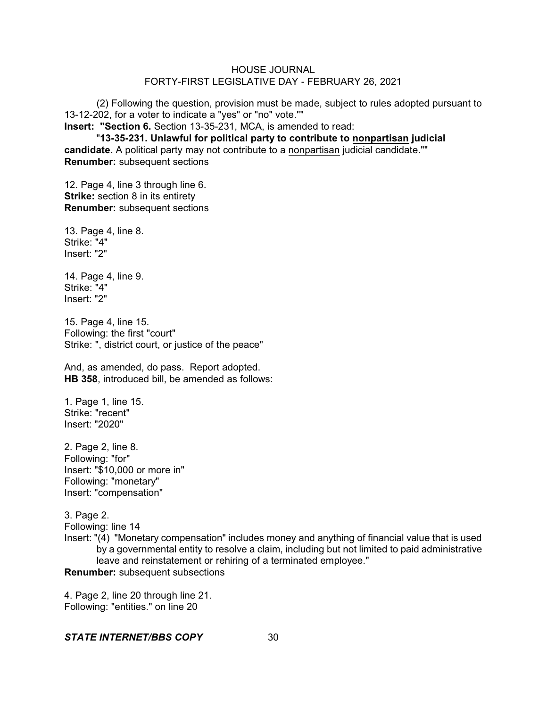(2) Following the question, provision must be made, subject to rules adopted pursuant to 13-12-202, for a voter to indicate a "yes" or "no" vote.""

**Insert: "Section 6.** Section 13-35-231, MCA, is amended to read:

"**13-35-231. Unlawful for political party to contribute to nonpartisan judicial candidate.** A political party may not contribute to a nonpartisan judicial candidate."" **Renumber:** subsequent sections

12. Page 4, line 3 through line 6. **Strike:** section 8 in its entirety **Renumber:** subsequent sections

13. Page 4, line 8. Strike: "4" Insert: "2"

14. Page 4, line 9. Strike: "4" Insert: "2"

15. Page 4, line 15. Following: the first "court" Strike: ", district court, or justice of the peace"

And, as amended, do pass. Report adopted. **HB 358**, introduced bill, be amended as follows:

1. Page 1, line 15. Strike: "recent" Insert: "2020"

2. Page 2, line 8. Following: "for" Insert: "\$10,000 or more in" Following: "monetary" Insert: "compensation"

3. Page 2. Following: line 14 Insert: "(4) "Monetary compensation" includes money and anything of financial value that is used by a governmental entity to resolve a claim, including but not limited to paid administrative leave and reinstatement or rehiring of a terminated employee." **Renumber:** subsequent subsections

4. Page 2, line 20 through line 21. Following: "entities." on line 20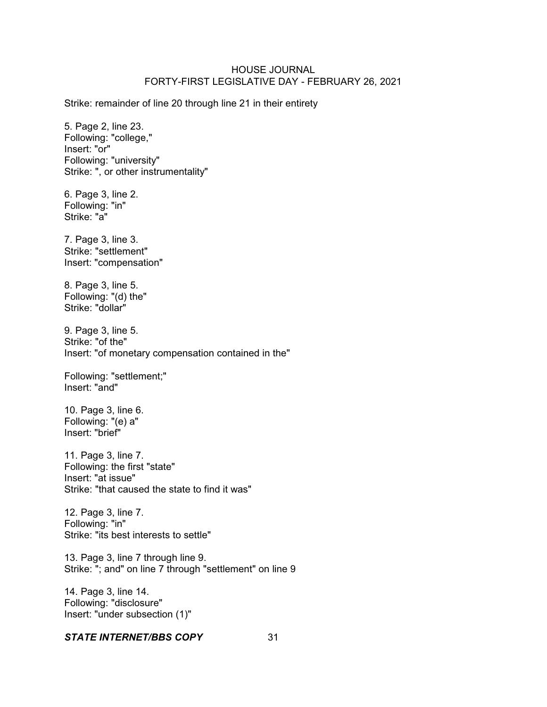Strike: remainder of line 20 through line 21 in their entirety

5. Page 2, line 23. Following: "college," Insert: "or" Following: "university" Strike: ", or other instrumentality"

6. Page 3, line 2. Following: "in" Strike: "a"

7. Page 3, line 3. Strike: "settlement" Insert: "compensation"

8. Page 3, line 5. Following: "(d) the" Strike: "dollar"

9. Page 3, line 5. Strike: "of the" Insert: "of monetary compensation contained in the"

Following: "settlement;" Insert: "and"

10. Page 3, line 6. Following: "(e) a" Insert: "brief"

11. Page 3, line 7. Following: the first "state" Insert: "at issue" Strike: "that caused the state to find it was"

12. Page 3, line 7. Following: "in" Strike: "its best interests to settle"

13. Page 3, line 7 through line 9. Strike: "; and" on line 7 through "settlement" on line 9

14. Page 3, line 14. Following: "disclosure" Insert: "under subsection (1)"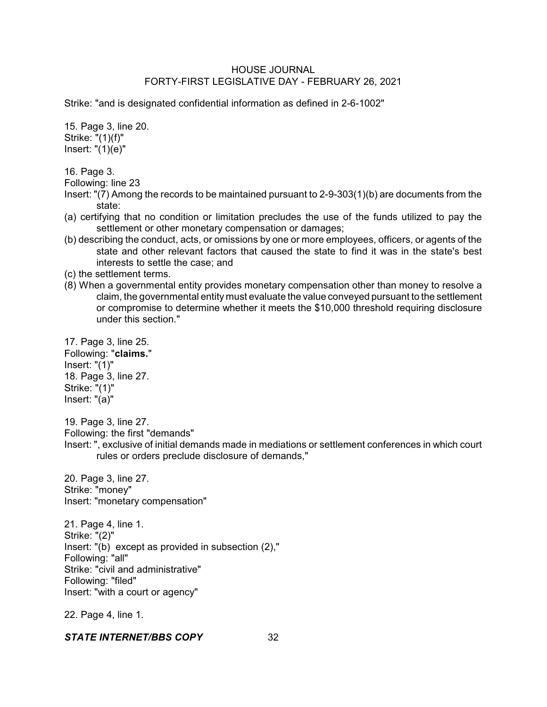Strike: "and is designated confidential information as defined in 2-6-1002"

15. Page 3, line 20. Strike: "(1)(f)" Insert: "(1)(e)"

16. Page 3.

Following: line 23

- Insert: "(7) Among the records to be maintained pursuant to 2-9-303(1)(b) are documents from the state:
- (a) certifying that no condition or limitation precludes the use of the funds utilized to pay the settlement or other monetary compensation or damages;
- (b) describing the conduct, acts, or omissions by one or more employees, officers, or agents of the state and other relevant factors that caused the state to find it was in the state's best interests to settle the case; and
- (c) the settlement terms.
- (8) When a governmental entity provides monetary compensation other than money to resolve a claim, the governmental entity must evaluate the value conveyed pursuant to the settlement or compromise to determine whether it meets the \$10,000 threshold requiring disclosure under this section."

17. Page 3, line 25. Following: "**claims.**" Insert: "(1)" 18. Page 3, line 27. Strike: "(1)" Insert: "(a)"

19. Page 3, line 27. Following: the first "demands"

Insert: ", exclusive of initial demands made in mediations or settlement conferences in which court rules or orders preclude disclosure of demands,"

20. Page 3, line 27. Strike: "money" Insert: "monetary compensation"

21. Page 4, line 1. Strike: "(2)" Insert: "(b) except as provided in subsection (2)," Following: "all" Strike: "civil and administrative" Following: "filed" Insert: "with a court or agency"

22. Page 4, line 1.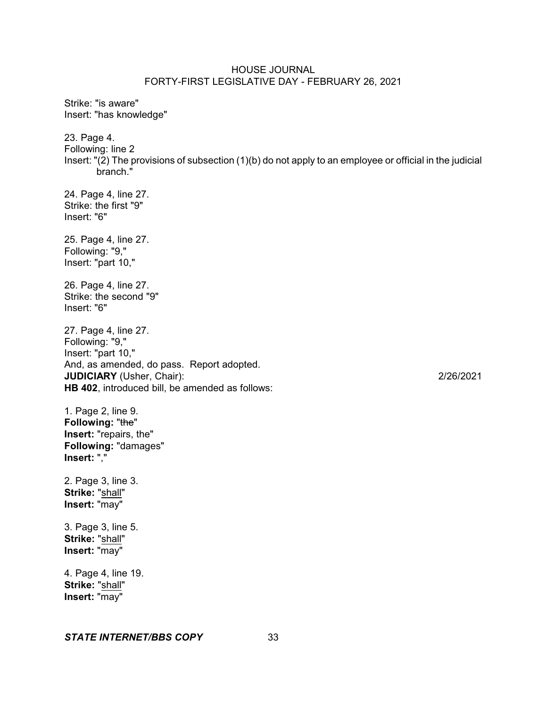Strike: "is aware" Insert: "has knowledge" 23. Page 4. Following: line 2 Insert: "(2) The provisions of subsection (1)(b) do not apply to an employee or official in the judicial branch." 24. Page 4, line 27. Strike: the first "9" Insert: "6" 25. Page 4, line 27. Following: "9," Insert: "part 10," 26. Page 4, line 27. Strike: the second "9" Insert: "6" 27. Page 4, line 27. Following: "9," Insert: "part 10," And, as amended, do pass. Report adopted. **JUDICIARY** (Usher, Chair): 2/26/2021 **HB 402**, introduced bill, be amended as follows: 1. Page 2, line 9. Following: "the" **Insert:** "repairs, the" **Following:** "damages" **Insert:** "," 2. Page 3, line 3. **Strike:** "shall" **Insert:** "may" 3. Page 3, line 5. **Strike:** "shall" **Insert:** "may" 4. Page 4, line 19. **Strike:** "shall" **Insert:** "may"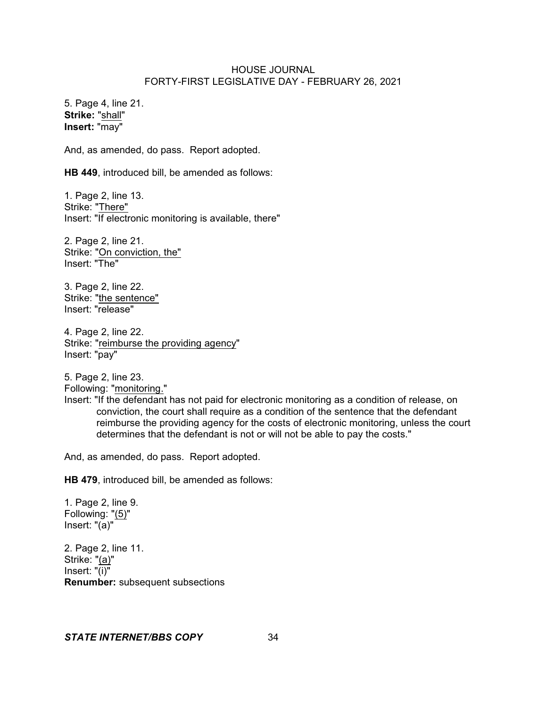5. Page 4, line 21. **Strike:** "shall" **Insert:** "may"

And, as amended, do pass. Report adopted.

**HB 449**, introduced bill, be amended as follows:

1. Page 2, line 13. Strike: "There" Insert: "If electronic monitoring is available, there"

2. Page 2, line 21. Strike: "On conviction, the" Insert: "The"

3. Page 2, line 22. Strike: "the sentence" Insert: "release"

4. Page 2, line 22. Strike: "reimburse the providing agency" Insert: "pay"

5. Page 2, line 23. Following: "monitoring."

Insert: "If the defendant has not paid for electronic monitoring as a condition of release, on conviction, the court shall require as a condition of the sentence that the defendant reimburse the providing agency for the costs of electronic monitoring, unless the court determines that the defendant is not or will not be able to pay the costs."

And, as amended, do pass. Report adopted.

**HB 479**, introduced bill, be amended as follows:

1. Page 2, line 9. Following: "(5)" Insert: "(a)"

2. Page 2, line 11. Strike: "(a)" Insert: "(i)" **Renumber:** subsequent subsections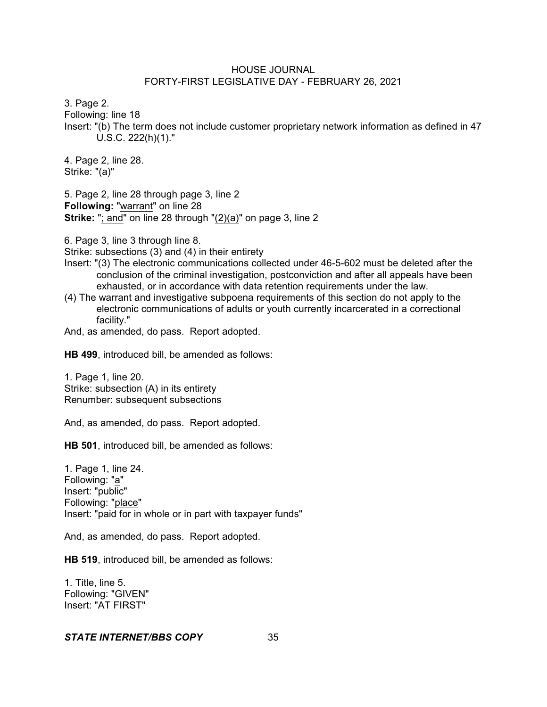3. Page 2.

Following: line 18

Insert: "(b) The term does not include customer proprietary network information as defined in 47 U.S.C. 222(h)(1)."

4. Page 2, line 28. Strike: "(a)"

5. Page 2, line 28 through page 3, line 2 **Following:** "warrant" on line 28 **Strike:** "; and" on line 28 through "(2)(a)" on page 3, line 2

6. Page 3, line 3 through line 8.

Strike: subsections (3) and (4) in their entirety

- Insert: "(3) The electronic communications collected under 46-5-602 must be deleted after the conclusion of the criminal investigation, postconviction and after all appeals have been exhausted, or in accordance with data retention requirements under the law.
- (4) The warrant and investigative subpoena requirements of this section do not apply to the electronic communications of adults or youth currently incarcerated in a correctional facility."

And, as amended, do pass. Report adopted.

**HB 499**, introduced bill, be amended as follows:

1. Page 1, line 20. Strike: subsection (A) in its entirety Renumber: subsequent subsections

And, as amended, do pass. Report adopted.

**HB 501**, introduced bill, be amended as follows:

1. Page 1, line 24. Following: "a" Insert: "public" Following: "place" Insert: "paid for in whole or in part with taxpayer funds"

And, as amended, do pass. Report adopted.

**HB 519**, introduced bill, be amended as follows:

1. Title, line 5. Following: "GIVEN" Insert: "AT FIRST"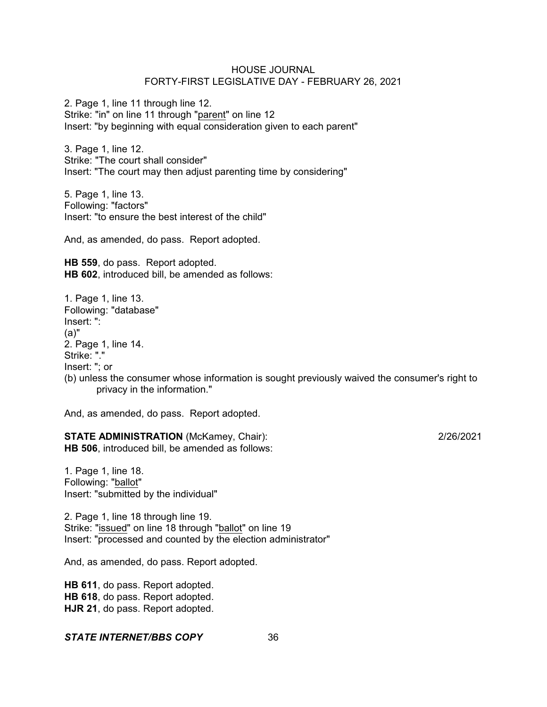2. Page 1, line 11 through line 12. Strike: "in" on line 11 through "parent" on line 12 Insert: "by beginning with equal consideration given to each parent"

3. Page 1, line 12. Strike: "The court shall consider" Insert: "The court may then adjust parenting time by considering"

5. Page 1, line 13. Following: "factors" Insert: "to ensure the best interest of the child"

And, as amended, do pass. Report adopted.

**HB 559**, do pass. Report adopted. **HB 602**, introduced bill, be amended as follows:

1. Page 1, line 13. Following: "database" Insert: ": (a)" 2. Page 1, line 14. Strike: "." Insert: "; or (b) unless the consumer whose information is sought previously waived the consumer's right to privacy in the information."

And, as amended, do pass. Report adopted.

**STATE ADMINISTRATION** (McKamey, Chair): 2/26/2021 **HB 506**, introduced bill, be amended as follows:

1. Page 1, line 18. Following: "ballot" Insert: "submitted by the individual"

2. Page 1, line 18 through line 19. Strike: "issued" on line 18 through "ballot" on line 19 Insert: "processed and counted by the election administrator"

And, as amended, do pass. Report adopted.

**HB 611**, do pass. Report adopted. **HB 618**, do pass. Report adopted. **HJR 21**, do pass. Report adopted.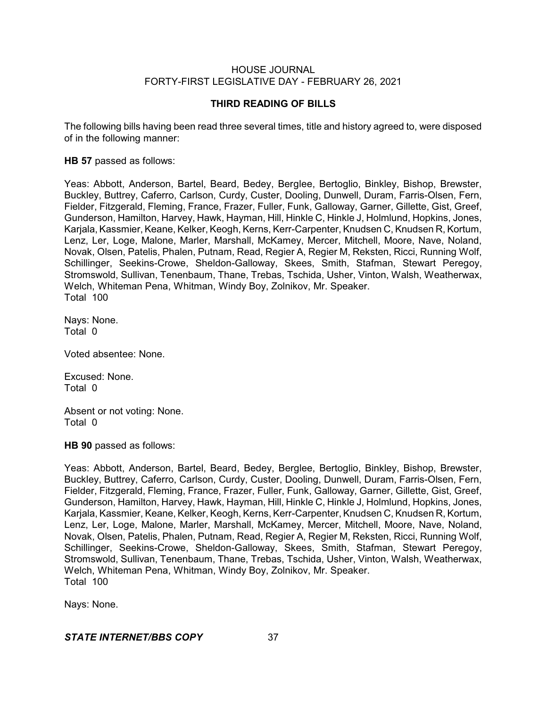# **THIRD READING OF BILLS**

The following bills having been read three several times, title and history agreed to, were disposed of in the following manner:

# **HB 57** passed as follows:

Yeas: Abbott, Anderson, Bartel, Beard, Bedey, Berglee, Bertoglio, Binkley, Bishop, Brewster, Buckley, Buttrey, Caferro, Carlson, Curdy, Custer, Dooling, Dunwell, Duram, Farris-Olsen, Fern, Fielder, Fitzgerald, Fleming, France, Frazer, Fuller, Funk, Galloway, Garner, Gillette, Gist, Greef, Gunderson, Hamilton, Harvey, Hawk, Hayman, Hill, Hinkle C, Hinkle J, Holmlund, Hopkins, Jones, Karjala, Kassmier, Keane, Kelker, Keogh, Kerns, Kerr-Carpenter, Knudsen C, Knudsen R, Kortum, Lenz, Ler, Loge, Malone, Marler, Marshall, McKamey, Mercer, Mitchell, Moore, Nave, Noland, Novak, Olsen, Patelis, Phalen, Putnam, Read, Regier A, Regier M, Reksten, Ricci, Running Wolf, Schillinger, Seekins-Crowe, Sheldon-Galloway, Skees, Smith, Stafman, Stewart Peregoy, Stromswold, Sullivan, Tenenbaum, Thane, Trebas, Tschida, Usher, Vinton, Walsh, Weatherwax, Welch, Whiteman Pena, Whitman, Windy Boy, Zolnikov, Mr. Speaker. Total 100

Nays: None. Total 0

Voted absentee: None.

Excused: None. Total 0

Absent or not voting: None. Total 0

**HB 90** passed as follows:

Yeas: Abbott, Anderson, Bartel, Beard, Bedey, Berglee, Bertoglio, Binkley, Bishop, Brewster, Buckley, Buttrey, Caferro, Carlson, Curdy, Custer, Dooling, Dunwell, Duram, Farris-Olsen, Fern, Fielder, Fitzgerald, Fleming, France, Frazer, Fuller, Funk, Galloway, Garner, Gillette, Gist, Greef, Gunderson, Hamilton, Harvey, Hawk, Hayman, Hill, Hinkle C, Hinkle J, Holmlund, Hopkins, Jones, Karjala, Kassmier, Keane, Kelker, Keogh, Kerns, Kerr-Carpenter, Knudsen C, Knudsen R, Kortum, Lenz, Ler, Loge, Malone, Marler, Marshall, McKamey, Mercer, Mitchell, Moore, Nave, Noland, Novak, Olsen, Patelis, Phalen, Putnam, Read, Regier A, Regier M, Reksten, Ricci, Running Wolf, Schillinger, Seekins-Crowe, Sheldon-Galloway, Skees, Smith, Stafman, Stewart Peregoy, Stromswold, Sullivan, Tenenbaum, Thane, Trebas, Tschida, Usher, Vinton, Walsh, Weatherwax, Welch, Whiteman Pena, Whitman, Windy Boy, Zolnikov, Mr. Speaker. Total 100

Nays: None.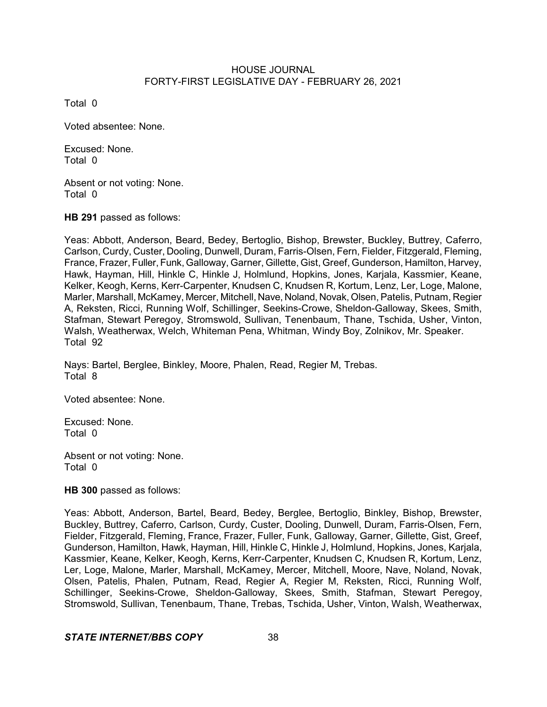Total 0

Voted absentee: None.

Excused: None. Total 0

Absent or not voting: None. Total 0

**HB 291** passed as follows:

Yeas: Abbott, Anderson, Beard, Bedey, Bertoglio, Bishop, Brewster, Buckley, Buttrey, Caferro, Carlson, Curdy, Custer, Dooling, Dunwell, Duram, Farris-Olsen, Fern, Fielder, Fitzgerald, Fleming, France, Frazer, Fuller, Funk, Galloway, Garner, Gillette, Gist, Greef, Gunderson, Hamilton, Harvey, Hawk, Hayman, Hill, Hinkle C, Hinkle J, Holmlund, Hopkins, Jones, Karjala, Kassmier, Keane, Kelker, Keogh, Kerns, Kerr-Carpenter, Knudsen C, Knudsen R, Kortum, Lenz, Ler, Loge, Malone, Marler, Marshall, McKamey, Mercer, Mitchell, Nave, Noland, Novak, Olsen, Patelis, Putnam, Regier A, Reksten, Ricci, Running Wolf, Schillinger, Seekins-Crowe, Sheldon-Galloway, Skees, Smith, Stafman, Stewart Peregoy, Stromswold, Sullivan, Tenenbaum, Thane, Tschida, Usher, Vinton, Walsh, Weatherwax, Welch, Whiteman Pena, Whitman, Windy Boy, Zolnikov, Mr. Speaker. Total 92

Nays: Bartel, Berglee, Binkley, Moore, Phalen, Read, Regier M, Trebas. Total 8

Voted absentee: None.

Excused: None. Total 0

Absent or not voting: None. Total 0

**HB 300** passed as follows:

Yeas: Abbott, Anderson, Bartel, Beard, Bedey, Berglee, Bertoglio, Binkley, Bishop, Brewster, Buckley, Buttrey, Caferro, Carlson, Curdy, Custer, Dooling, Dunwell, Duram, Farris-Olsen, Fern, Fielder, Fitzgerald, Fleming, France, Frazer, Fuller, Funk, Galloway, Garner, Gillette, Gist, Greef, Gunderson, Hamilton, Hawk, Hayman, Hill, Hinkle C, Hinkle J, Holmlund, Hopkins, Jones, Karjala, Kassmier, Keane, Kelker, Keogh, Kerns, Kerr-Carpenter, Knudsen C, Knudsen R, Kortum, Lenz, Ler, Loge, Malone, Marler, Marshall, McKamey, Mercer, Mitchell, Moore, Nave, Noland, Novak, Olsen, Patelis, Phalen, Putnam, Read, Regier A, Regier M, Reksten, Ricci, Running Wolf, Schillinger, Seekins-Crowe, Sheldon-Galloway, Skees, Smith, Stafman, Stewart Peregoy, Stromswold, Sullivan, Tenenbaum, Thane, Trebas, Tschida, Usher, Vinton, Walsh, Weatherwax,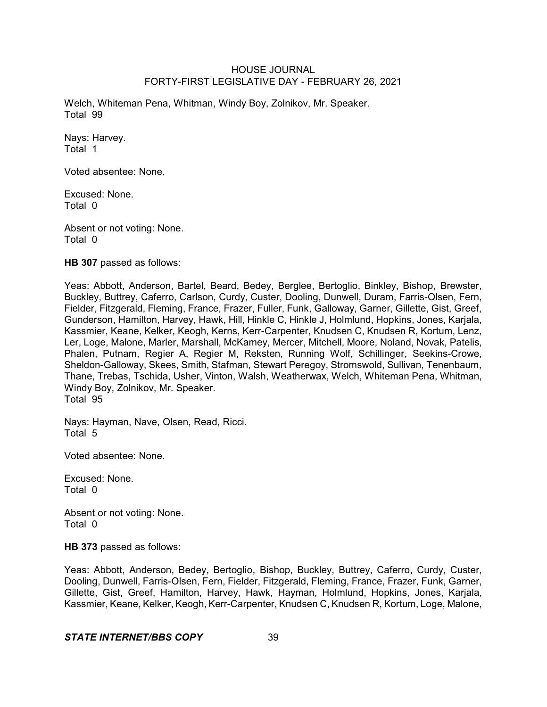Welch, Whiteman Pena, Whitman, Windy Boy, Zolnikov, Mr. Speaker. Total 99

Nays: Harvey. Total 1

Voted absentee: None.

Excused: None. Total 0

Absent or not voting: None. Total 0

**HB 307** passed as follows:

Yeas: Abbott, Anderson, Bartel, Beard, Bedey, Berglee, Bertoglio, Binkley, Bishop, Brewster, Buckley, Buttrey, Caferro, Carlson, Curdy, Custer, Dooling, Dunwell, Duram, Farris-Olsen, Fern, Fielder, Fitzgerald, Fleming, France, Frazer, Fuller, Funk, Galloway, Garner, Gillette, Gist, Greef, Gunderson, Hamilton, Harvey, Hawk, Hill, Hinkle C, Hinkle J, Holmlund, Hopkins, Jones, Karjala, Kassmier, Keane, Kelker, Keogh, Kerns, Kerr-Carpenter, Knudsen C, Knudsen R, Kortum, Lenz, Ler, Loge, Malone, Marler, Marshall, McKamey, Mercer, Mitchell, Moore, Noland, Novak, Patelis, Phalen, Putnam, Regier A, Regier M, Reksten, Running Wolf, Schillinger, Seekins-Crowe, Sheldon-Galloway, Skees, Smith, Stafman, Stewart Peregoy, Stromswold, Sullivan, Tenenbaum, Thane, Trebas, Tschida, Usher, Vinton, Walsh, Weatherwax, Welch, Whiteman Pena, Whitman, Windy Boy, Zolnikov, Mr. Speaker. Total 95

Nays: Hayman, Nave, Olsen, Read, Ricci. Total 5

Voted absentee: None.

Excused: None. Total 0

Absent or not voting: None. Total 0

**HB 373** passed as follows:

Yeas: Abbott, Anderson, Bedey, Bertoglio, Bishop, Buckley, Buttrey, Caferro, Curdy, Custer, Dooling, Dunwell, Farris-Olsen, Fern, Fielder, Fitzgerald, Fleming, France, Frazer, Funk, Garner, Gillette, Gist, Greef, Hamilton, Harvey, Hawk, Hayman, Holmlund, Hopkins, Jones, Karjala, Kassmier, Keane, Kelker, Keogh, Kerr-Carpenter, Knudsen C, Knudsen R, Kortum, Loge, Malone,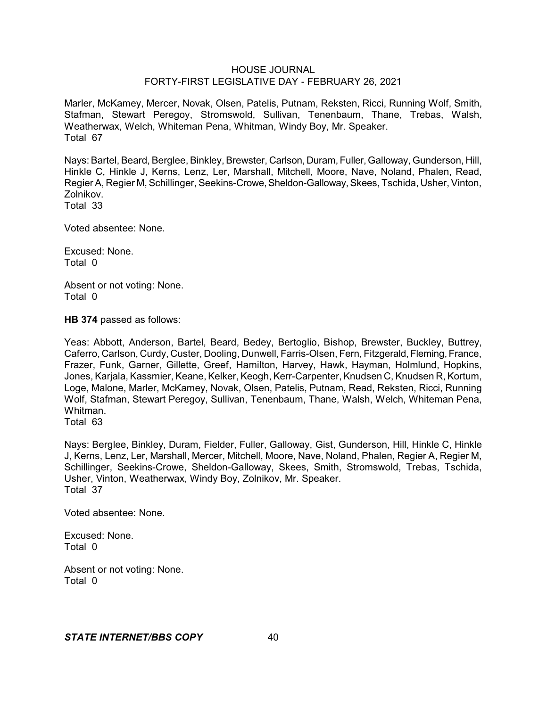Marler, McKamey, Mercer, Novak, Olsen, Patelis, Putnam, Reksten, Ricci, Running Wolf, Smith, Stafman, Stewart Peregoy, Stromswold, Sullivan, Tenenbaum, Thane, Trebas, Walsh, Weatherwax, Welch, Whiteman Pena, Whitman, Windy Boy, Mr. Speaker. Total 67

Nays: Bartel, Beard, Berglee, Binkley, Brewster, Carlson, Duram, Fuller, Galloway, Gunderson, Hill, Hinkle C, Hinkle J, Kerns, Lenz, Ler, Marshall, Mitchell, Moore, Nave, Noland, Phalen, Read, Regier A, Regier M, Schillinger, Seekins-Crowe, Sheldon-Galloway, Skees, Tschida, Usher, Vinton, Zolnikov. Total 33

Voted absentee: None.

Excused: None. Total 0

Absent or not voting: None. Total 0

**HB 374** passed as follows:

Yeas: Abbott, Anderson, Bartel, Beard, Bedey, Bertoglio, Bishop, Brewster, Buckley, Buttrey, Caferro, Carlson, Curdy, Custer, Dooling, Dunwell, Farris-Olsen, Fern, Fitzgerald, Fleming, France, Frazer, Funk, Garner, Gillette, Greef, Hamilton, Harvey, Hawk, Hayman, Holmlund, Hopkins, Jones, Karjala, Kassmier, Keane, Kelker, Keogh, Kerr-Carpenter, Knudsen C, Knudsen R, Kortum, Loge, Malone, Marler, McKamey, Novak, Olsen, Patelis, Putnam, Read, Reksten, Ricci, Running Wolf, Stafman, Stewart Peregoy, Sullivan, Tenenbaum, Thane, Walsh, Welch, Whiteman Pena, Whitman.

Total 63

Nays: Berglee, Binkley, Duram, Fielder, Fuller, Galloway, Gist, Gunderson, Hill, Hinkle C, Hinkle J, Kerns, Lenz, Ler, Marshall, Mercer, Mitchell, Moore, Nave, Noland, Phalen, Regier A, Regier M, Schillinger, Seekins-Crowe, Sheldon-Galloway, Skees, Smith, Stromswold, Trebas, Tschida, Usher, Vinton, Weatherwax, Windy Boy, Zolnikov, Mr. Speaker. Total 37

Voted absentee: None.

Excused: None. Total 0

Absent or not voting: None. Total 0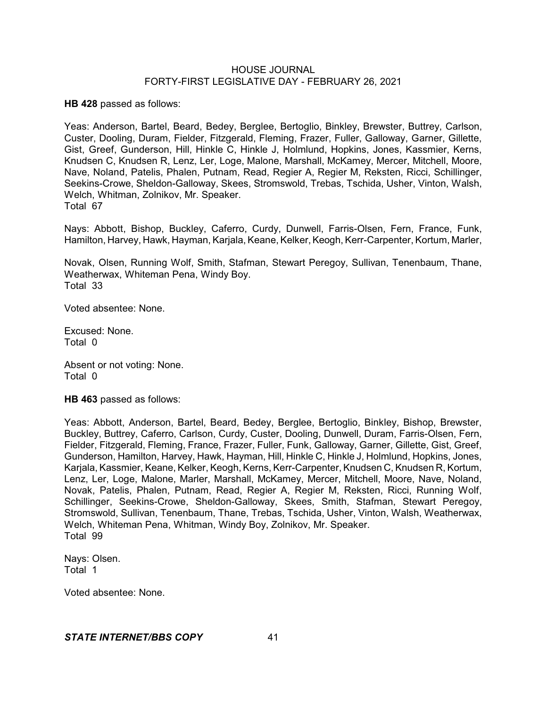**HB 428** passed as follows:

Yeas: Anderson, Bartel, Beard, Bedey, Berglee, Bertoglio, Binkley, Brewster, Buttrey, Carlson, Custer, Dooling, Duram, Fielder, Fitzgerald, Fleming, Frazer, Fuller, Galloway, Garner, Gillette, Gist, Greef, Gunderson, Hill, Hinkle C, Hinkle J, Holmlund, Hopkins, Jones, Kassmier, Kerns, Knudsen C, Knudsen R, Lenz, Ler, Loge, Malone, Marshall, McKamey, Mercer, Mitchell, Moore, Nave, Noland, Patelis, Phalen, Putnam, Read, Regier A, Regier M, Reksten, Ricci, Schillinger, Seekins-Crowe, Sheldon-Galloway, Skees, Stromswold, Trebas, Tschida, Usher, Vinton, Walsh, Welch, Whitman, Zolnikov, Mr. Speaker. Total 67

Nays: Abbott, Bishop, Buckley, Caferro, Curdy, Dunwell, Farris-Olsen, Fern, France, Funk, Hamilton, Harvey, Hawk, Hayman, Karjala, Keane, Kelker, Keogh, Kerr-Carpenter, Kortum, Marler,

Novak, Olsen, Running Wolf, Smith, Stafman, Stewart Peregoy, Sullivan, Tenenbaum, Thane, Weatherwax, Whiteman Pena, Windy Boy. Total 33

Voted absentee: None.

Excused: None. Total 0

Absent or not voting: None. Total 0

**HB 463** passed as follows:

Yeas: Abbott, Anderson, Bartel, Beard, Bedey, Berglee, Bertoglio, Binkley, Bishop, Brewster, Buckley, Buttrey, Caferro, Carlson, Curdy, Custer, Dooling, Dunwell, Duram, Farris-Olsen, Fern, Fielder, Fitzgerald, Fleming, France, Frazer, Fuller, Funk, Galloway, Garner, Gillette, Gist, Greef, Gunderson, Hamilton, Harvey, Hawk, Hayman, Hill, Hinkle C, Hinkle J, Holmlund, Hopkins, Jones, Karjala, Kassmier, Keane, Kelker, Keogh, Kerns, Kerr-Carpenter, Knudsen C, Knudsen R, Kortum, Lenz, Ler, Loge, Malone, Marler, Marshall, McKamey, Mercer, Mitchell, Moore, Nave, Noland, Novak, Patelis, Phalen, Putnam, Read, Regier A, Regier M, Reksten, Ricci, Running Wolf, Schillinger, Seekins-Crowe, Sheldon-Galloway, Skees, Smith, Stafman, Stewart Peregoy, Stromswold, Sullivan, Tenenbaum, Thane, Trebas, Tschida, Usher, Vinton, Walsh, Weatherwax, Welch, Whiteman Pena, Whitman, Windy Boy, Zolnikov, Mr. Speaker. Total 99

Nays: Olsen. Total 1

Voted absentee: None.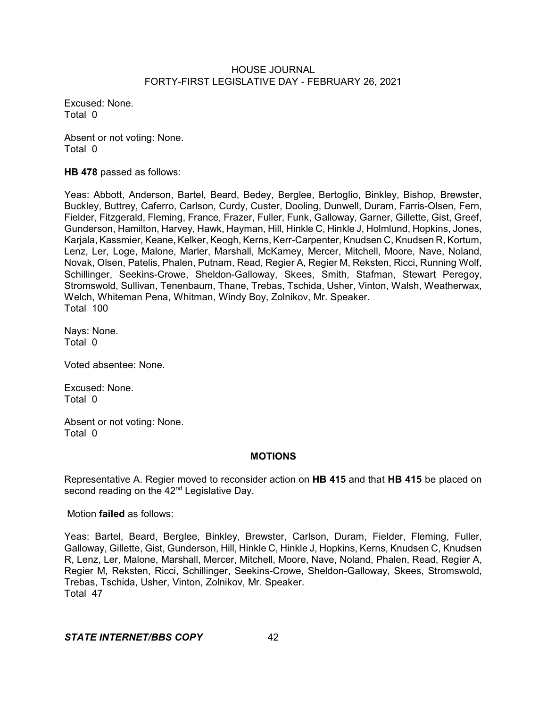Excused: None. Total 0

Absent or not voting: None. Total 0

**HB 478** passed as follows:

Yeas: Abbott, Anderson, Bartel, Beard, Bedey, Berglee, Bertoglio, Binkley, Bishop, Brewster, Buckley, Buttrey, Caferro, Carlson, Curdy, Custer, Dooling, Dunwell, Duram, Farris-Olsen, Fern, Fielder, Fitzgerald, Fleming, France, Frazer, Fuller, Funk, Galloway, Garner, Gillette, Gist, Greef, Gunderson, Hamilton, Harvey, Hawk, Hayman, Hill, Hinkle C, Hinkle J, Holmlund, Hopkins, Jones, Karjala, Kassmier, Keane, Kelker, Keogh, Kerns, Kerr-Carpenter, Knudsen C, Knudsen R, Kortum, Lenz, Ler, Loge, Malone, Marler, Marshall, McKamey, Mercer, Mitchell, Moore, Nave, Noland, Novak, Olsen, Patelis, Phalen, Putnam, Read, Regier A, Regier M, Reksten, Ricci, Running Wolf, Schillinger, Seekins-Crowe, Sheldon-Galloway, Skees, Smith, Stafman, Stewart Peregoy, Stromswold, Sullivan, Tenenbaum, Thane, Trebas, Tschida, Usher, Vinton, Walsh, Weatherwax, Welch, Whiteman Pena, Whitman, Windy Boy, Zolnikov, Mr. Speaker. Total 100

Nays: None. Total 0

Voted absentee: None.

Excused: None. Total 0

Absent or not voting: None. Total 0

# **MOTIONS**

Representative A. Regier moved to reconsider action on **HB 415** and that **HB 415** be placed on second reading on the 42<sup>nd</sup> Legislative Day.

Motion **failed** as follows:

Yeas: Bartel, Beard, Berglee, Binkley, Brewster, Carlson, Duram, Fielder, Fleming, Fuller, Galloway, Gillette, Gist, Gunderson, Hill, Hinkle C, Hinkle J, Hopkins, Kerns, Knudsen C, Knudsen R, Lenz, Ler, Malone, Marshall, Mercer, Mitchell, Moore, Nave, Noland, Phalen, Read, Regier A, Regier M, Reksten, Ricci, Schillinger, Seekins-Crowe, Sheldon-Galloway, Skees, Stromswold, Trebas, Tschida, Usher, Vinton, Zolnikov, Mr. Speaker. Total 47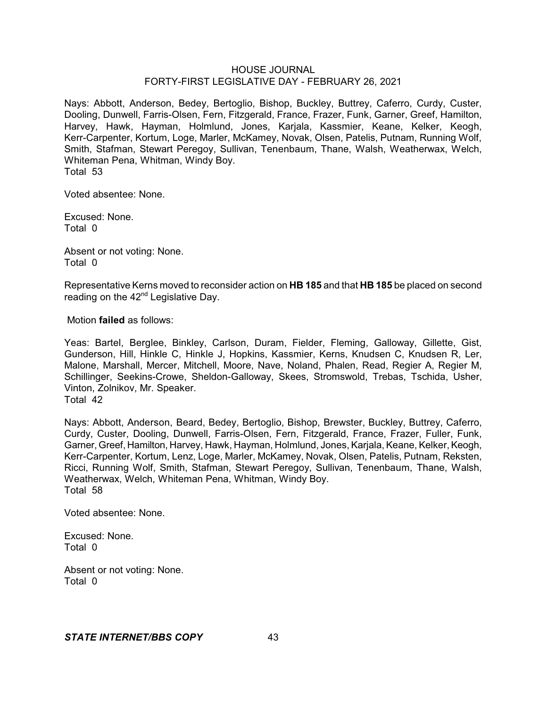Nays: Abbott, Anderson, Bedey, Bertoglio, Bishop, Buckley, Buttrey, Caferro, Curdy, Custer, Dooling, Dunwell, Farris-Olsen, Fern, Fitzgerald, France, Frazer, Funk, Garner, Greef, Hamilton, Harvey, Hawk, Hayman, Holmlund, Jones, Karjala, Kassmier, Keane, Kelker, Keogh, Kerr-Carpenter, Kortum, Loge, Marler, McKamey, Novak, Olsen, Patelis, Putnam, Running Wolf, Smith, Stafman, Stewart Peregoy, Sullivan, Tenenbaum, Thane, Walsh, Weatherwax, Welch, Whiteman Pena, Whitman, Windy Boy. Total 53

Voted absentee: None.

Excused: None. Total 0

Absent or not voting: None. Total 0

Representative Kerns moved to reconsider action on **HB 185** and that **HB 185** be placed on second reading on the 42<sup>nd</sup> Legislative Day.

Motion **failed** as follows:

Yeas: Bartel, Berglee, Binkley, Carlson, Duram, Fielder, Fleming, Galloway, Gillette, Gist, Gunderson, Hill, Hinkle C, Hinkle J, Hopkins, Kassmier, Kerns, Knudsen C, Knudsen R, Ler, Malone, Marshall, Mercer, Mitchell, Moore, Nave, Noland, Phalen, Read, Regier A, Regier M, Schillinger, Seekins-Crowe, Sheldon-Galloway, Skees, Stromswold, Trebas, Tschida, Usher, Vinton, Zolnikov, Mr. Speaker. Total 42

Nays: Abbott, Anderson, Beard, Bedey, Bertoglio, Bishop, Brewster, Buckley, Buttrey, Caferro, Curdy, Custer, Dooling, Dunwell, Farris-Olsen, Fern, Fitzgerald, France, Frazer, Fuller, Funk, Garner, Greef, Hamilton, Harvey, Hawk, Hayman, Holmlund, Jones, Karjala, Keane, Kelker,Keogh, Kerr-Carpenter, Kortum, Lenz, Loge, Marler, McKamey, Novak, Olsen, Patelis, Putnam, Reksten, Ricci, Running Wolf, Smith, Stafman, Stewart Peregoy, Sullivan, Tenenbaum, Thane, Walsh, Weatherwax, Welch, Whiteman Pena, Whitman, Windy Boy. Total 58

Voted absentee: None.

Excused: None. Total 0

Absent or not voting: None. Total 0